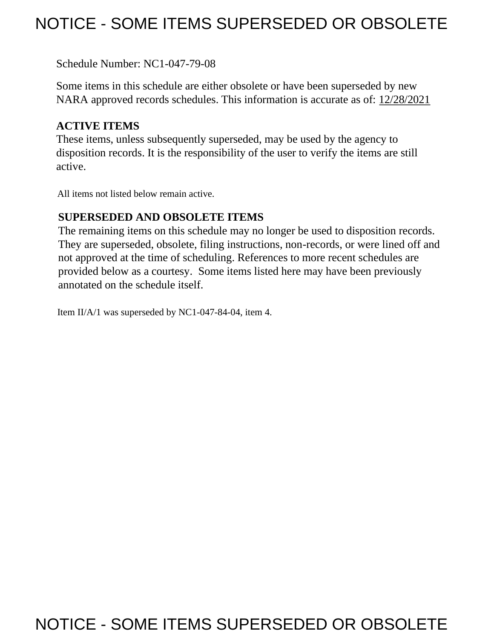## NOTICE - SOME ITEMS SUPERSEDED OR OBSOLETE

Schedule Number: NC1-047-79-08

 Some items in this schedule are either obsolete or have been superseded by new NARA approved records schedules. This information is accurate as of: 12/28/2021

## **ACTIVE ITEMS**

 These items, unless subsequently superseded, may be used by the agency to disposition records. It is the responsibility of the user to verify the items are still active.

All items not listed below remain active.

### **SUPERSEDED AND OBSOLETE ITEMS**

 The remaining items on this schedule may no longer be used to disposition records. not approved at the time of scheduling. References to more recent schedules are provided below as a courtesy. Some items listed here may have been previously They are superseded, obsolete, filing instructions, non-records, or were lined off and annotated on the schedule itself.

Item II/A/1 was superseded by NC1-047-84-04, item 4.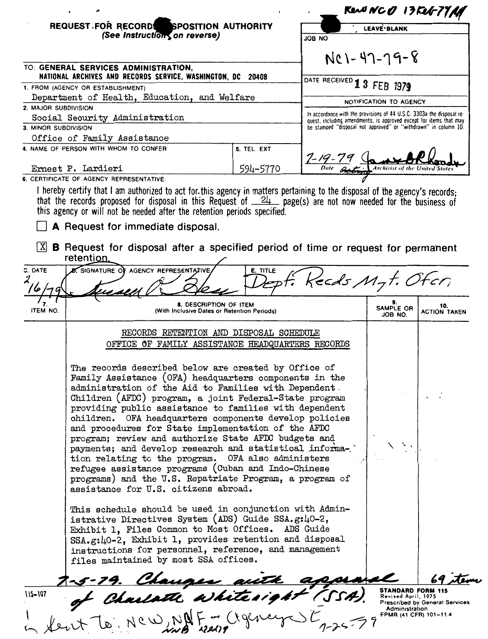|                      |                                                                                                                                                                                                                                                                                                                                                                                                                                                                                                                                                                                                                                                                                                                                                                                                            |              |                                                                                                                                             |                                                                 | Rena NCO 13Feb-77AP                   |
|----------------------|------------------------------------------------------------------------------------------------------------------------------------------------------------------------------------------------------------------------------------------------------------------------------------------------------------------------------------------------------------------------------------------------------------------------------------------------------------------------------------------------------------------------------------------------------------------------------------------------------------------------------------------------------------------------------------------------------------------------------------------------------------------------------------------------------------|--------------|---------------------------------------------------------------------------------------------------------------------------------------------|-----------------------------------------------------------------|---------------------------------------|
|                      | REQUEST FOR RECORDS SPOSITION AUTHORITY                                                                                                                                                                                                                                                                                                                                                                                                                                                                                                                                                                                                                                                                                                                                                                    |              |                                                                                                                                             | LEAVE BLANK                                                     |                                       |
|                      | (See Instruction, on reverse)                                                                                                                                                                                                                                                                                                                                                                                                                                                                                                                                                                                                                                                                                                                                                                              |              | ON 8OL                                                                                                                                      |                                                                 |                                       |
|                      |                                                                                                                                                                                                                                                                                                                                                                                                                                                                                                                                                                                                                                                                                                                                                                                                            |              | NC1-47-79-8                                                                                                                                 |                                                                 |                                       |
|                      | TO: GENERAL SERVICES ADMINISTRATION,<br>NATIONAL ARCHIVES AND RECORDS SERVICE, WASHINGTON, DC 20408                                                                                                                                                                                                                                                                                                                                                                                                                                                                                                                                                                                                                                                                                                        |              | DATE RECEIVED 1 3 FEB 1979                                                                                                                  |                                                                 |                                       |
|                      | 1. FROM (AGENCY OR ESTABLISHMENT)<br>Department of Health, Education, and Welfare                                                                                                                                                                                                                                                                                                                                                                                                                                                                                                                                                                                                                                                                                                                          |              |                                                                                                                                             |                                                                 |                                       |
| 2. MAJOR SUBDIVISION |                                                                                                                                                                                                                                                                                                                                                                                                                                                                                                                                                                                                                                                                                                                                                                                                            |              | NOTIFICATION TO AGENCY                                                                                                                      |                                                                 |                                       |
|                      | Social Security Administration                                                                                                                                                                                                                                                                                                                                                                                                                                                                                                                                                                                                                                                                                                                                                                             |              | In accordance with the provisions of 44 U.S.C. 3303a the disposal re-<br>quest, including amendments, is approved except for items that may |                                                                 |                                       |
| 3. MINOR SUBDIVISION |                                                                                                                                                                                                                                                                                                                                                                                                                                                                                                                                                                                                                                                                                                                                                                                                            |              | be stamped "disposal not approved" or "withdrawn" in column 10.                                                                             |                                                                 |                                       |
|                      | Office of Family Assistance<br>4. NAME OF PERSON WITH WHOM TO CONFER                                                                                                                                                                                                                                                                                                                                                                                                                                                                                                                                                                                                                                                                                                                                       | 5. TEL. EXT. |                                                                                                                                             |                                                                 |                                       |
|                      |                                                                                                                                                                                                                                                                                                                                                                                                                                                                                                                                                                                                                                                                                                                                                                                                            |              |                                                                                                                                             |                                                                 |                                       |
|                      | Ernest P. Lardieri                                                                                                                                                                                                                                                                                                                                                                                                                                                                                                                                                                                                                                                                                                                                                                                         | 594-5770     |                                                                                                                                             |                                                                 |                                       |
|                      | 6. CERTIFICATE OF AGENCY REPRESENTATIVE:<br>I hereby certify that I am authorized to act for this agency in matters pertaining to the disposal of the agency's records;                                                                                                                                                                                                                                                                                                                                                                                                                                                                                                                                                                                                                                    |              |                                                                                                                                             |                                                                 |                                       |
| X <br>C. DATE        | that the records proposed for disposal in this Request of $24$ page(s) are not now needed for the business of<br>this agency or will not be needed after the retention periods specified.<br>A Request for immediate disposal.<br><b>B</b> Request for disposal after a specified period of time or request for permanent<br>retention.<br><b>AGENCY REPRESENTATIVE</b><br>SIGNATURE OF                                                                                                                                                                                                                                                                                                                                                                                                                    | E. TITLE     | Keeds Myt. Ofen                                                                                                                             |                                                                 |                                       |
|                      | 8. DESCRIPTION OF ITEM                                                                                                                                                                                                                                                                                                                                                                                                                                                                                                                                                                                                                                                                                                                                                                                     |              |                                                                                                                                             |                                                                 | 10.                                   |
| ITEM NO.             | (With Inclusive Dates or Retention Periods)                                                                                                                                                                                                                                                                                                                                                                                                                                                                                                                                                                                                                                                                                                                                                                |              |                                                                                                                                             | SAMPLE OR<br>JOB NO.                                            | <b>ACTION TAKEN</b>                   |
|                      | RECORDS RETENTION AND DISPOSAL SCHEDULE<br>OFFICE OF FAMILY ASSISTANCE HEADQUARTERS RECORDS                                                                                                                                                                                                                                                                                                                                                                                                                                                                                                                                                                                                                                                                                                                |              |                                                                                                                                             |                                                                 |                                       |
|                      | The records described below are created by Office of<br>Family Assistance (OFA) headquarters components in the<br>administration of the Aid to Families with Dependent.<br>Children (AFDC) program, a joint Federal-State program<br>providing public assistance to families with dependent<br>children. OFA headquarters components develop policies<br>and procedures for State implementation of the AFDC<br>program; review and authorize State AFDC budgets and<br>payments; and develop research and statistical informa-<br>tion relating to the program. OFA also administers<br>refugee assistance programs (Cuban and Indo-Chinese<br>programs) and the U.S. Repatriate Program, a program of<br>assistance for U.S. citizens abroad.<br>This schedule should be used in conjunction with Admin- |              |                                                                                                                                             |                                                                 |                                       |
|                      | istrative Directives System (ADS) Guide SSA.g:40-2,<br>Exhibit 1, Files Common to Most Offices. ADS Guide<br>SSA.g:40-2, Exhibit 1, provides retention and disposal<br>instructions for personnel, reference, and management<br>files maintained by most SSA offices.                                                                                                                                                                                                                                                                                                                                                                                                                                                                                                                                      |              |                                                                                                                                             |                                                                 |                                       |
|                      |                                                                                                                                                                                                                                                                                                                                                                                                                                                                                                                                                                                                                                                                                                                                                                                                            |              |                                                                                                                                             | <b>STANDARD FORM 115</b>                                        |                                       |
| $115 - 107$          | <del>1-5-79. Chauges auth appea</del><br>of Charlott ashite <i>sight (</i> SSA).<br>feut to New Not Engineer                                                                                                                                                                                                                                                                                                                                                                                                                                                                                                                                                                                                                                                                                               |              |                                                                                                                                             | Revised April, 1975<br>Administration<br>FPMR (41 CFR) 101-11.4 | <b>Prescribed by General Services</b> |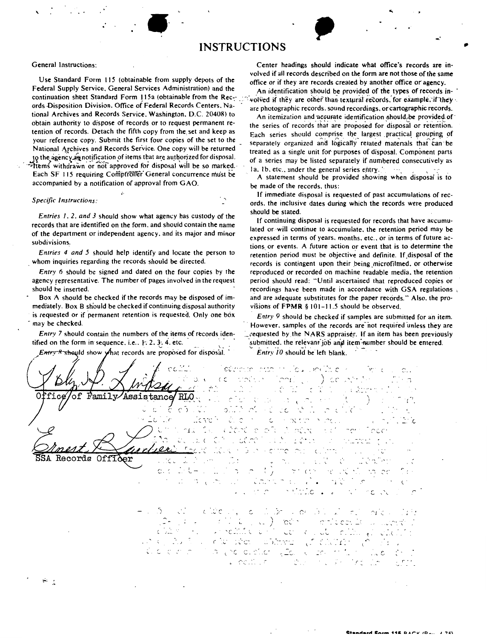# example of the set of the set of the set of the set of the set of the set of the set of the set of the set of the set of the set of the set of the set of the set of the set of the set of the set of the set of the set of th ,, **INSTRUCTIONS**

Use Standard Form 115 (obtainable from supply depots of the office or if they are records created by another office or agency.<br>Federal Supply Service, General Services Administration) and the agency and interdifection shou Federal Supply Service. General Services Administration) and the An identification should be provided of **the** types of records inords Disposition Division. Office of Federal Records Centers. Na-<br>Care photographic records of the Service, Washington, D.C. 20408) to the intensity is and pequante identifiestion should be provided of tional Archives and Records Service. Washington. D.C. 20408) to An itemization and accurate identification should, be provided of<br>obtain authority to dispose of records or to request permanent re-<br>the series of records tha obtain authority to dispose of records or to request permanent re-<br>tention of records. Detach the fifth copy from the set and keep as<br>Each exage should comprise the largest practical grounds of

·-•Items withdrawn or not approved for disposal wiil be so marked.· I a. t b. etc .. under the general series e\_ntry. · . , ,  $\frac{1}{2}$  accompanied by a notification of approval from GAO. be made of the records, thus:

mediately. Box B sh'ould be checked if continuing disposal authority visions of **FPMR** § IO J-11.5 should be observed. is requested or if permanent retention is requested. Only one box *Entry 9* should be checked if samples are submitted for an item.<br>However. samples of the records are not required unless they are

tified on the form in sequence. i.e.. 1- 2. 3. 4. etc. *and item* submitted, the relevant job and item number should be entered.

*Entry A* should show what records are proposed for disposal. *Entry 10* should be left blank. etimos que mujeu polític in Troni  $\mathcal{D}$ .  $\zeta$ **STORES**  $\mathbb{R}^2$ 上衣 of Family Assistance fice ' RLO ċ, Ωċ.  $\mathcal{L}$  C  $\circ$ . ÷ Ć. in de tich • • .J. \_\_\_ ,  $\mathbb{C}^{\infty}$  $\sim$   $\tilde{\ }$ C  $2.3 + 13$  $\sim$   $\zeta$ ime.

 $\sim$   $\sim$ 

Records

General Instructions: Center headings should indicate what office's records are involved if all records described on the form are not those of the same

continuation sheet Standard Form I I Sa (obtainable from the Rec $\gamma$  .  $\gamma$  volved if they are other than textural records, for example, if they  $\cdot$ .

tention of records. Detach the fifth copy from the set and keep as Each series should comprise the largest practical grouping of vour reference copy. Submit the first four copies of the set to the expansion against a larg your reference copy. Submit the first four copies of the set to the separately organized and logically related materials that can be very sell be returned by related with four materials that the cality related materials th National Archives and Records Service. One copy will be returned treated as a single unit for purposes of disposal. Component parts<br>to the agency agnotification of items that are authorized for disposal. of a series may be listed separately if numbered consecutively as

A statement should be provided showing when disposal is to

If immediate disposal is requested of past accumulations of rec- *Specific Instructions:* ords. the inclusive dates during which the records were produced

Entries 1, 2, and 3 should show what agency has custody of the<br>records that are identified on the form, and should contain the name<br>of the department or independent agency, and its major and minor<br>subdivisions,<br>and its maj Entries 4 and 5 should help identify and locate the person to<br>whom inquiries regarding the records should be directed.<br>records is contingent upon their being microfilmed, or otherwise *Entry* 6 should be signed and dated on the four copies by the reproduced or recorded on machine readable media. the retention agency representative. The number of pages involved in the request period should read: "Until ascertained that reproduced copies or should be inserted. The should be inserted. The state of the state of the state of the state of the state of the state of the state of the state of the state of the state of the state of the state of the state of the state Box A should be checked if the records may be disposed of im- and are adequate substitutes for the paper records." Also. the pro-

*Entry* 7 should contain the numbers of the items of records iden- ... requested by the NARS appraiser. If an item has been previously

 $\sum_{i=1}^{n}$ 

\ I /

 $CC$  $\ddot{\phantom{a}}$ ienticien. 14 \.. - .( ſι  $\mathbb{U}$  $\sim$  0 ć *(* ,-  $\sqrt{ }$ a yek bibûde yîs. Wîze arken û h r. 1990 - Village<br>Station - Village  $\mathbb{C}^{11}$  .  $\mathbb{C}^{11}$ . editir

( '. J

( .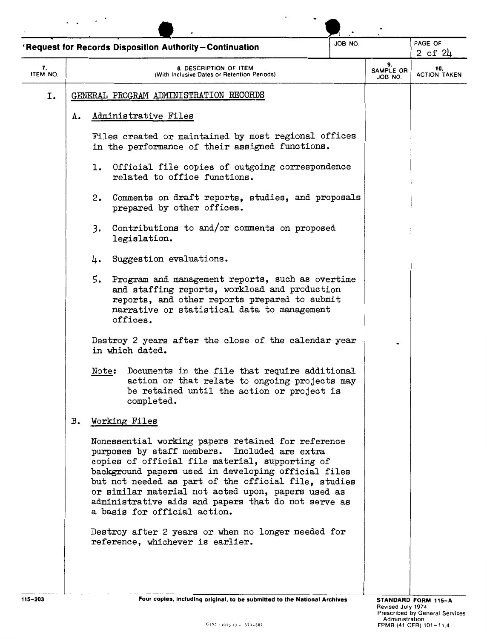|                |    |                                                                         | 'Request for Records Disposition Authority-Continuation                                                                                                                                                                                                                                                                                                                                                            | JOB NO.                    |  | PAGE OF<br>$2$ of $24$ |  |
|----------------|----|-------------------------------------------------------------------------|--------------------------------------------------------------------------------------------------------------------------------------------------------------------------------------------------------------------------------------------------------------------------------------------------------------------------------------------------------------------------------------------------------------------|----------------------------|--|------------------------|--|
| 7.<br>ITEM NO. |    |                                                                         | 9.<br>SAMPLE OR<br>JOB NO.                                                                                                                                                                                                                                                                                                                                                                                         | 10.<br><b>ACTION TAKEN</b> |  |                        |  |
| Ι.             |    |                                                                         | GENERAL PROGRAM ADMINISTRATION RECORDS                                                                                                                                                                                                                                                                                                                                                                             |                            |  |                        |  |
|                | А. |                                                                         | Administrative Files                                                                                                                                                                                                                                                                                                                                                                                               |                            |  |                        |  |
|                |    |                                                                         | Files created or maintained by most regional offices<br>in the performance of their assigned functions.                                                                                                                                                                                                                                                                                                            |                            |  |                        |  |
|                |    | l.                                                                      | Official file copies of outgoing correspondence<br>related to office functions.                                                                                                                                                                                                                                                                                                                                    |                            |  |                        |  |
|                |    | 2.                                                                      | Comments on draft reports, studies, and proposals<br>prepared by other offices.                                                                                                                                                                                                                                                                                                                                    |                            |  |                        |  |
|                |    | 3.                                                                      | Contributions to and/or comments on proposed<br>legislation.                                                                                                                                                                                                                                                                                                                                                       |                            |  |                        |  |
|                |    | 4.                                                                      | Suggestion evaluations.                                                                                                                                                                                                                                                                                                                                                                                            |                            |  |                        |  |
|                |    | 5.                                                                      | Program and management reports, such as overtime<br>and staffing reports, workload and production<br>reports, and other reports prepared to submit<br>narrative or statistical data to management<br>offices.                                                                                                                                                                                                      |                            |  |                        |  |
|                |    | Destroy 2 years after the close of the calendar year<br>in which dated. |                                                                                                                                                                                                                                                                                                                                                                                                                    |                            |  |                        |  |
|                |    | Note:                                                                   | Documents in the file that require additional<br>action or that relate to ongoing projects may<br>be retained until the action or project is<br>completed.                                                                                                                                                                                                                                                         |                            |  |                        |  |
|                | в. |                                                                         | Working Files                                                                                                                                                                                                                                                                                                                                                                                                      |                            |  |                        |  |
|                |    |                                                                         | Nonessential working papers retained for reference<br>purposes by staff members. Included are extra<br>copies of official file material, supporting of<br>background papers used in developing official files<br>but not needed as part of the official file, studies<br>or similar material not acted upon, papers used as<br>administrative aids and papers that do not serve as<br>a basis for official action. |                            |  |                        |  |
|                |    |                                                                         | Destroy after 2 years or when no longer needed for<br>reference, whichever is earlier.                                                                                                                                                                                                                                                                                                                             |                            |  |                        |  |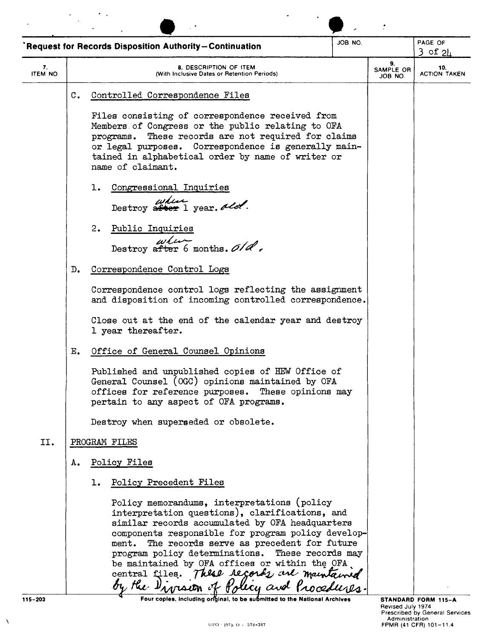|                |                | <b>Request for Records Disposition Authority-Continuation</b>                                                                                                                                                                                                                                                                                                                                                                                   | JOB NO.                    |                            | PAGE OF<br>$3$ of $2h$ |
|----------------|----------------|-------------------------------------------------------------------------------------------------------------------------------------------------------------------------------------------------------------------------------------------------------------------------------------------------------------------------------------------------------------------------------------------------------------------------------------------------|----------------------------|----------------------------|------------------------|
| 7.<br>ITEM NO. |                | <b>8. DESCRIPTION OF ITEM</b><br>(With Inclusive Dates or Retention Periods)                                                                                                                                                                                                                                                                                                                                                                    | 9.<br>SAMPLE OR<br>JOB NO. | 10.<br><b>ACTION TAKEN</b> |                        |
|                | $\mathbb{C}$ . | Controlled Correspondence Files                                                                                                                                                                                                                                                                                                                                                                                                                 |                            |                            |                        |
|                |                | Files consisting of correspondence received from<br>Members of Congress or the public relating to OFA<br>These records are not required for claims<br>programs.<br>or legal purposes. Correspondence is generally main-<br>tained in alphabetical order by name of writer or<br>name of claimant.                                                                                                                                               |                            |                            |                        |
|                |                | Congressional Inquiries<br>1.<br>where year, ald.                                                                                                                                                                                                                                                                                                                                                                                               |                            |                            |                        |
|                |                | 2.<br>Public Inquiries<br>$\begin{array}{c}\n \omega \ell \omega \\ \text{Destroy after 6 months.} \frac{\partial}{\partial \ell},\n \end{array}$                                                                                                                                                                                                                                                                                               |                            |                            |                        |
|                | D.             | Correspondence Control Logs                                                                                                                                                                                                                                                                                                                                                                                                                     |                            |                            |                        |
|                |                | Correspondence control logs reflecting the assignment<br>and disposition of incoming controlled correspondence.<br>Close out at the end of the calendar year and destroy                                                                                                                                                                                                                                                                        |                            |                            |                        |
|                | Е.             | 1 year thereafter.<br>Office of General Counsel Opinions                                                                                                                                                                                                                                                                                                                                                                                        |                            |                            |                        |
|                |                | Published and unpublished copies of HEW Office of<br>General Counsel (OGC) opinions maintained by OFA<br>offices for reference purposes. These opinions may<br>pertain to any aspect of OFA programs.                                                                                                                                                                                                                                           |                            |                            |                        |
|                |                | Destroy when superseded or obsolete.                                                                                                                                                                                                                                                                                                                                                                                                            |                            |                            |                        |
| II.            |                | PROGRAM FILES                                                                                                                                                                                                                                                                                                                                                                                                                                   |                            |                            |                        |
|                | Α.             | Policy Files                                                                                                                                                                                                                                                                                                                                                                                                                                    |                            |                            |                        |
|                |                | Policy Precedent Files<br>ı.<br>Policy memorandums, interpretations (policy<br>interpretation questions), clarifications, and<br>similar records accumulated by OFA headquarters<br>components responsible for program policy develop-<br>ment. The records serve as precedent for future<br>program policy determinations. These records may<br>be maintained by OFA offices or within the OFA.<br>central files. These regards are maintained |                            |                            |                        |

 $\bar{\lambda}$ 

Revised July 1974<br>Prescribed by General Services<br>Administration = Administration<br>FPMR (41 CFR) 101–11.4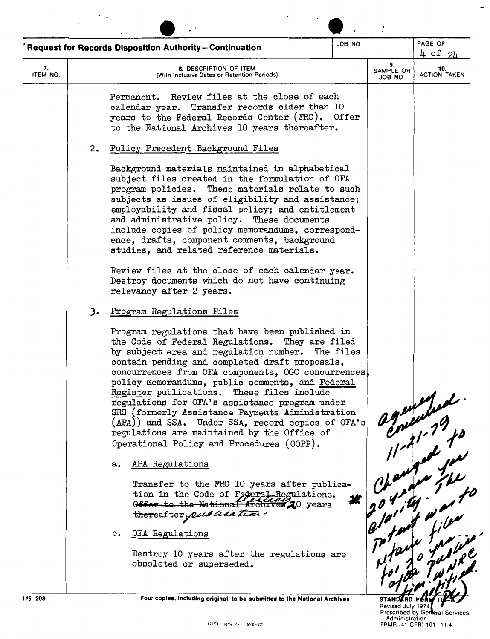| Request for Records Disposition Authority-Continuation |                                                                                                                                                                                                                                                                                                                                                                                                                                                                                                                                                                                                                                                                                                                                                                                                                                                                                                                                                                                                                                                                                                                                                                                                                                                                                                                                                                                                                                                                                                                                                                                                                                                                                                                                                                                                  | PAGE OF<br>$4$ of $2$ |                            |                                          |  |
|--------------------------------------------------------|--------------------------------------------------------------------------------------------------------------------------------------------------------------------------------------------------------------------------------------------------------------------------------------------------------------------------------------------------------------------------------------------------------------------------------------------------------------------------------------------------------------------------------------------------------------------------------------------------------------------------------------------------------------------------------------------------------------------------------------------------------------------------------------------------------------------------------------------------------------------------------------------------------------------------------------------------------------------------------------------------------------------------------------------------------------------------------------------------------------------------------------------------------------------------------------------------------------------------------------------------------------------------------------------------------------------------------------------------------------------------------------------------------------------------------------------------------------------------------------------------------------------------------------------------------------------------------------------------------------------------------------------------------------------------------------------------------------------------------------------------------------------------------------------------|-----------------------|----------------------------|------------------------------------------|--|
| 7.<br>ITEM NO.                                         | 8. DESCRIPTION OF ITEM<br>(With Inclusive Dates or Retention Periods)                                                                                                                                                                                                                                                                                                                                                                                                                                                                                                                                                                                                                                                                                                                                                                                                                                                                                                                                                                                                                                                                                                                                                                                                                                                                                                                                                                                                                                                                                                                                                                                                                                                                                                                            |                       | 9.<br>SAMPLE OR<br>JOB NO. | 10.<br><b>ACTION TAKEN</b>               |  |
| 2.<br>3.                                               | Review files at the close of each<br>Permanent.<br>calendar year. Transfer records older than 10<br>years to the Federal Records Center (FRC). Offer<br>to the National Archives 10 years thereafter.<br>Policy Precedent Background Files<br>Background materials maintained in alphabetical<br>subject files created in the formulation of OFA<br>program policies. These materials relate to such<br>subjects as issues of eligibility and assistance;<br>employability and fiscal policy; and entitlement<br>and administrative policy. These documents<br>include copies of policy memorandums, correspond-<br>ence, drafts, component comments, background<br>studies, and related reference materials.<br>Review files at the close of each calendar year.<br>Destroy documents which do not have continuing<br>relevancy after 2 years.<br>Program Regulations Files<br>Program regulations that have been published in<br>the Code of Federal Regulations. They are filed<br>by subject area and regulation number. The files<br>contain pending and completed draft proposals,<br>concurrences from OFA components, OGC concurrences,<br>policy memorandums, public comments, and Federal<br>Register publications. These files include<br>regulations for OFA's assistance program under<br>SRS (formerly Assistance Payments Administration<br>(APA)) and SSA. Under SSA, record copies of OFA's<br>regulations are maintained by the Office of<br>Operational Policy and Procedures (OOPP).<br>a. APA Regulations<br>Transfer to the FRC 10 years after publica-<br>tion in the Code of Federal Regulations.<br>Offer to the National Archives 20 years<br>thereafter, pulled time.<br>b. OFA Regulations<br>Destroy 10 years after the regulations are<br>obsoleted or superseded. |                       |                            | 9 agustud<br>yourged to<br>potent was to |  |

**Four copies, Including original, to be submitted to the National Archives** 

Revised July 1974<br>Prescribed by General Se<br>Administration (Administration of Game)<br>FPMR (41 CFR) 101-11.4

 $\overline{\phantom{a}}$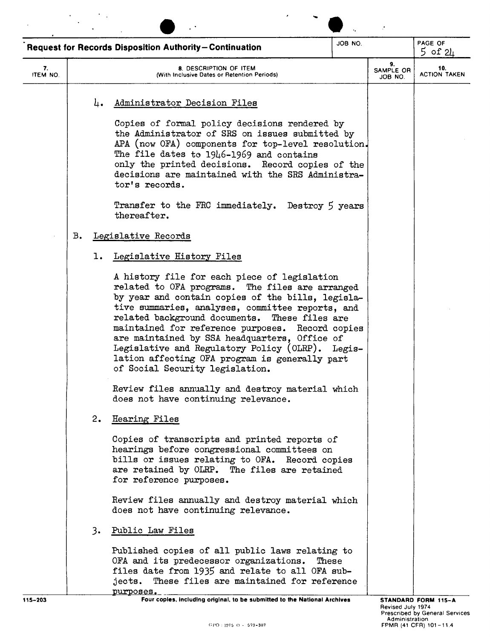|                |               | <b>Request for Records Disposition Authority-Continuation</b>                                                                                                                                                                                                                                                                                                                                                                                                                                           | JOB NO. |                            | PAGE OF<br>$5$ of $2\mu$   |  |
|----------------|---------------|---------------------------------------------------------------------------------------------------------------------------------------------------------------------------------------------------------------------------------------------------------------------------------------------------------------------------------------------------------------------------------------------------------------------------------------------------------------------------------------------------------|---------|----------------------------|----------------------------|--|
| 7.<br>ITEM NO. |               | 8. DESCRIPTION OF ITEM<br>(With Inclusive Dates or Retention Periods)                                                                                                                                                                                                                                                                                                                                                                                                                                   |         | 9.<br>SAMPLE OR<br>JOB NO. | 10.<br><b>ACTION TAKEN</b> |  |
|                |               | Administrator Decision Files<br>4.                                                                                                                                                                                                                                                                                                                                                                                                                                                                      |         |                            |                            |  |
|                |               | Copies of formal policy decisions rendered by<br>the Administrator of SRS on issues submitted by<br>APA (now OFA) components for top-level resolution.<br>The file dates to 1946-1969 and contains<br>only the printed decisions. Record copies of the<br>decisions are maintained with the SRS Administra-<br>tor's records.                                                                                                                                                                           |         |                            |                            |  |
|                |               | Transfer to the FRC immediately. Destroy 5 years<br>thereafter.                                                                                                                                                                                                                                                                                                                                                                                                                                         |         |                            |                            |  |
|                | $B_{\bullet}$ | Legislative Records                                                                                                                                                                                                                                                                                                                                                                                                                                                                                     |         |                            |                            |  |
|                |               | Legislative History Files<br>ı.                                                                                                                                                                                                                                                                                                                                                                                                                                                                         |         |                            |                            |  |
|                |               | A history file for each piece of legislation<br>related to OFA programs. The files are arranged<br>by year and contain copies of the bills, legisla-<br>tive summaries, analyses, committee reports, and<br>related background documents. These files are<br>maintained for reference purposes. Record copies<br>are maintained by SSA headquarters, Office of<br>Legislative and Regulatory Policy (OLRP). Legis-<br>lation affecting OFA program is generally part<br>of Social Security legislation. |         |                            |                            |  |
|                |               | Review files annually and destroy material which<br>does not have continuing relevance.                                                                                                                                                                                                                                                                                                                                                                                                                 |         |                            |                            |  |
|                |               | 2.<br>Hearing Files                                                                                                                                                                                                                                                                                                                                                                                                                                                                                     |         |                            |                            |  |
|                |               | Copies of transcripts and printed reports of<br>hearings before congressional committees on<br>bills or issues relating to OFA. Record copies<br>are retained by OLRP. The files are retained<br>for reference purposes.                                                                                                                                                                                                                                                                                |         |                            |                            |  |
|                |               | Review files annually and destroy material which<br>does not have continuing relevance.                                                                                                                                                                                                                                                                                                                                                                                                                 |         |                            |                            |  |
|                |               | 3.<br>Public Law Files                                                                                                                                                                                                                                                                                                                                                                                                                                                                                  |         |                            |                            |  |
|                |               | Published copies of all public laws relating to<br>OFA and its predecessor organizations.<br>files date from 1935 and relate to all OFA sub-<br>jects. These files are maintained for reference                                                                                                                                                                                                                                                                                                         | These   |                            |                            |  |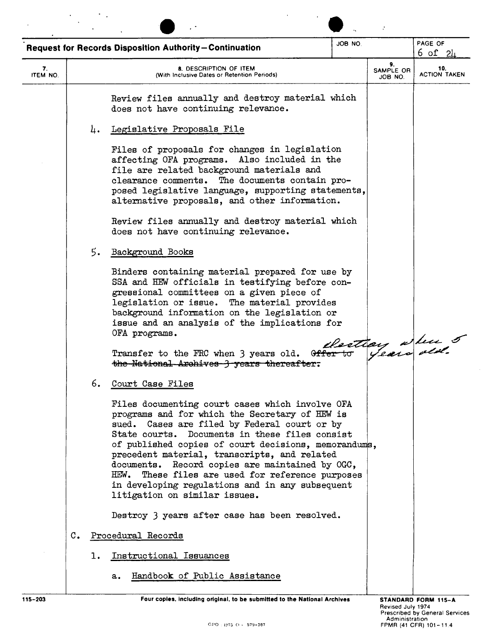|                |                  |    | <b>Request for Records Disposition Authority-Continuation</b>                                                                                                                                                                                                                                                                                                                                                                                                                                             | JOB NO.                    |                            | PAGE OF<br>6 of 24 |
|----------------|------------------|----|-----------------------------------------------------------------------------------------------------------------------------------------------------------------------------------------------------------------------------------------------------------------------------------------------------------------------------------------------------------------------------------------------------------------------------------------------------------------------------------------------------------|----------------------------|----------------------------|--------------------|
| 7.<br>ITEM NO. |                  |    | 8. DESCRIPTION OF ITEM<br>(With Inclusive Dates or Retention Periods)                                                                                                                                                                                                                                                                                                                                                                                                                                     | 9.<br>SAMPLE OR<br>JOB NO. | 10.<br><b>ACTION TAKEN</b> |                    |
|                |                  |    | Review files annually and destroy material which<br>does not have continuing relevance.                                                                                                                                                                                                                                                                                                                                                                                                                   |                            |                            |                    |
|                |                  | 4. | Legislative Proposals File                                                                                                                                                                                                                                                                                                                                                                                                                                                                                |                            |                            |                    |
|                |                  |    | Files of proposals for changes in legislation<br>affecting OFA programs. Also included in the<br>file are related background materials and<br>clearance comments. The documents contain pro-<br>posed legislative language, supporting statements,<br>alternative proposals, and other information.                                                                                                                                                                                                       |                            |                            |                    |
|                |                  |    | Review files annually and destroy material which<br>does not have continuing relevance.                                                                                                                                                                                                                                                                                                                                                                                                                   |                            |                            |                    |
|                |                  | 5. | Background Books                                                                                                                                                                                                                                                                                                                                                                                                                                                                                          |                            |                            |                    |
|                |                  |    | Binders containing material prepared for use by<br>SSA and HEW officials in testifying before con-<br>gressional committees on a given piece of<br>legislation or issue. The material provides<br>background information on the legislation or<br>issue and an analysis of the implications for<br>OFA programs.                                                                                                                                                                                          |                            |                            |                    |
|                |                  |    | Transfer to the FRC when 3 years old. Offer to<br>the National Archives 3 years thereafter.                                                                                                                                                                                                                                                                                                                                                                                                               |                            |                            | Restian where 5    |
|                |                  | 6. | Court Case Files                                                                                                                                                                                                                                                                                                                                                                                                                                                                                          |                            |                            |                    |
|                |                  |    | Files documenting court cases which involve OFA<br>programs and for which the Secretary of HEW is<br>sued. Cases are filed by Federal court or by<br>State courts. Documents in these files consist<br>of published copies of court decisions, memorandums,<br>precedent material, transcripts, and related<br>documents. Record copies are maintained by OGC,<br>These files are used for reference purposes<br>HEW.<br>in developing regulations and in any subsequent<br>litigation on similar issues. |                            |                            |                    |
|                |                  |    | Destroy 3 years after case has been resolved.                                                                                                                                                                                                                                                                                                                                                                                                                                                             |                            |                            |                    |
|                | $\mathfrak{c}$ . |    | Procedural Records                                                                                                                                                                                                                                                                                                                                                                                                                                                                                        |                            |                            |                    |
|                |                  | ı. | Instructional Issuances                                                                                                                                                                                                                                                                                                                                                                                                                                                                                   |                            |                            |                    |
|                |                  |    | Handbook of Public Assistance<br>$\mathbf{a}$ .                                                                                                                                                                                                                                                                                                                                                                                                                                                           |                            |                            |                    |

 $\mathcal{O}(\mathcal{O}_\mathcal{A})$  . The  $\mathcal{O}_\mathcal{A}$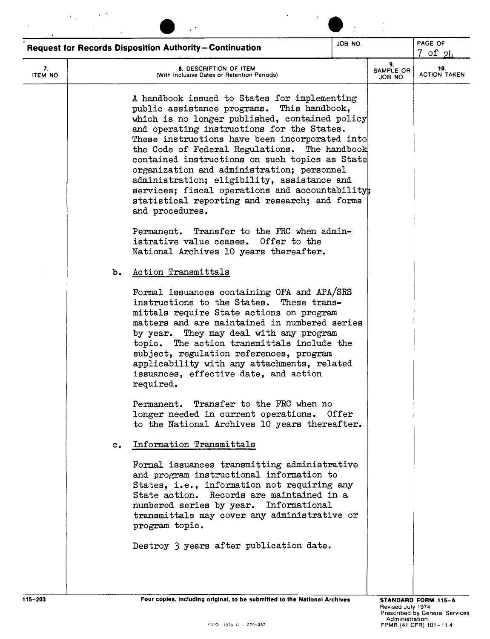|                |               | <b>Request for Records Disposition Authority-Continuation</b>                                                                                                                                                                                                                                                                                                                                                                                                                                                                                                       | JOB NO. |                            | PAGE OF<br>$7$ of $21$     |
|----------------|---------------|---------------------------------------------------------------------------------------------------------------------------------------------------------------------------------------------------------------------------------------------------------------------------------------------------------------------------------------------------------------------------------------------------------------------------------------------------------------------------------------------------------------------------------------------------------------------|---------|----------------------------|----------------------------|
| 7.<br>ITEM NO. |               | <b>8. DESCRIPTION OF ITEM</b><br>(With Inclusive Dates or Retention Periods)                                                                                                                                                                                                                                                                                                                                                                                                                                                                                        |         | 9.<br>SAMPLE OR<br>JOB NO. | 10.<br><b>ACTION TAKEN</b> |
|                |               | A handbook issued to States for implementing<br>public assistance programs. This handbook,<br>which is no longer published, contained policy<br>and operating instructions for the States.<br>These instructions have been incorporated into<br>the Code of Federal Regulations. The handbook<br>contained instructions on such topics as State<br>organization and administration; personnel<br>administration; eligibility, assistance and<br>services; fiscal operations and accountability;<br>statistical reporting and research; and forms<br>and procedures. |         |                            |                            |
|                |               | Permanent. Transfer to the FRC when admin-<br>Offer to the<br>istrative value ceases.<br>National Archives 10 years thereafter.                                                                                                                                                                                                                                                                                                                                                                                                                                     |         |                            |                            |
|                | ъ.            | Action Transmittals                                                                                                                                                                                                                                                                                                                                                                                                                                                                                                                                                 |         |                            |                            |
|                |               | Formal issuances containing OFA and APA/SRS<br>instructions to the States.<br>These trans-<br>mittals require State actions on program<br>matters and are maintained in numbered series<br>by year. They may deal with any program<br>topic. The action transmittals include the<br>subject, regulation references, program<br>applicability with any attachments, related<br>issuances, effective date, and action<br>required.                                                                                                                                    |         |                            |                            |
|                |               | Permanent. Transfer to the FRC when no<br>longer needed in current operations. Offer<br>to the National Archives 10 years thereafter.                                                                                                                                                                                                                                                                                                                                                                                                                               |         |                            |                            |
|                | $c_{\bullet}$ | Information Transmittals                                                                                                                                                                                                                                                                                                                                                                                                                                                                                                                                            |         |                            |                            |
|                |               | Formal issuances transmitting administrative<br>and program instructional information to<br>States, i.e., information not requiring any<br>State action. Records are maintained in a<br>numbered series by year. Informational<br>transmittals may cover any administrative or<br>program topic.                                                                                                                                                                                                                                                                    |         |                            |                            |
|                |               | Destroy 3 years after publication date.                                                                                                                                                                                                                                                                                                                                                                                                                                                                                                                             |         |                            |                            |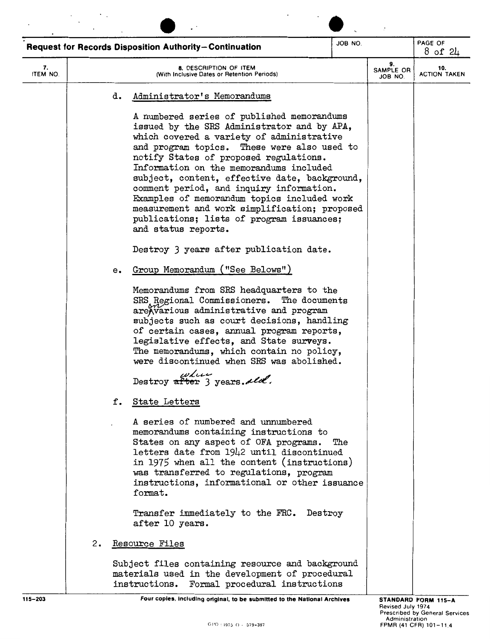|                |                      | <b>Request for Records Disposition Authority-Continuation</b>                                                                                                                                                                                                                                                                                                                                                                                                                                                                               | JOB NO. |                            | PAGE OF                    |  |
|----------------|----------------------|---------------------------------------------------------------------------------------------------------------------------------------------------------------------------------------------------------------------------------------------------------------------------------------------------------------------------------------------------------------------------------------------------------------------------------------------------------------------------------------------------------------------------------------------|---------|----------------------------|----------------------------|--|
|                |                      |                                                                                                                                                                                                                                                                                                                                                                                                                                                                                                                                             |         |                            | $8$ of $24$                |  |
| 7.<br>ITEM NO. |                      | <b>8. DESCRIPTION OF ITEM</b><br>(With Inclusive Dates or Retention Periods)                                                                                                                                                                                                                                                                                                                                                                                                                                                                |         | 9.<br>SAMPLE OR<br>JOB NO. | 10.<br><b>ACTION TAKEN</b> |  |
|                |                      | Administrator's Memorandums<br>d.                                                                                                                                                                                                                                                                                                                                                                                                                                                                                                           |         |                            |                            |  |
|                |                      | A numbered series of published memorandums<br>issued by the SRS Administrator and by APA,<br>which covered a variety of administrative<br>and program topics. These were also used to<br>notify States of proposed regulations.<br>Information on the memorandums included<br>subject, content, effective date, background,<br>comment period, and inquiry information.<br>Examples of memorandum topics included work<br>measurement and work simplification; proposed<br>publications; lists of program issuances;<br>and status reports. |         |                            |                            |  |
|                |                      | Destroy 3 years after publication date.                                                                                                                                                                                                                                                                                                                                                                                                                                                                                                     |         |                            |                            |  |
|                |                      | Group Memorandum ("See Belows")<br>е.                                                                                                                                                                                                                                                                                                                                                                                                                                                                                                       |         |                            |                            |  |
|                |                      | Memorandums from SRS headquarters to the<br>SRS Regional Commissioners. The documents<br>are Warious administrative and program<br>subjects such as court decisions, handling<br>of certain cases, annual program reports,<br>legislative effects, and State surveys.<br>The memorandums, which contain no policy,<br>were discontinued when SRS was abolished.<br>where                                                                                                                                                                    |         |                            |                            |  |
|                |                      | Destroy after 3 years. ald.                                                                                                                                                                                                                                                                                                                                                                                                                                                                                                                 |         |                            |                            |  |
|                |                      | f.<br>State Letters                                                                                                                                                                                                                                                                                                                                                                                                                                                                                                                         |         |                            |                            |  |
|                |                      | A series of numbered and unnumbered<br>memorandums containing instructions to<br>States on any aspect of OFA programs.<br>letters date from 1942 until discontinued<br>in 1975 when all the content (instructions)<br>was transferred to regulations, program<br>instructions, informational or other issuance<br>format.                                                                                                                                                                                                                   | The     |                            |                            |  |
|                |                      | Transfer immediately to the FRC. Destroy<br>after 10 years.                                                                                                                                                                                                                                                                                                                                                                                                                                                                                 |         |                            |                            |  |
|                | 2.<br>Resource Files |                                                                                                                                                                                                                                                                                                                                                                                                                                                                                                                                             |         |                            |                            |  |
|                |                      | Subject files containing resource and background<br>materials used in the development of procedural<br>Formal procedural instructions<br>instructions.                                                                                                                                                                                                                                                                                                                                                                                      |         |                            |                            |  |
| $115 - 203$    |                      | Four copies, including original, to be submitted to the National Archives                                                                                                                                                                                                                                                                                                                                                                                                                                                                   |         |                            | STANDARD FORM 115-A        |  |

 $\ddot{\phantom{0}}$ 

 $\mathcal{F}_{\mathcal{A}}=\mathcal{F}_{\mathcal{A}}$  .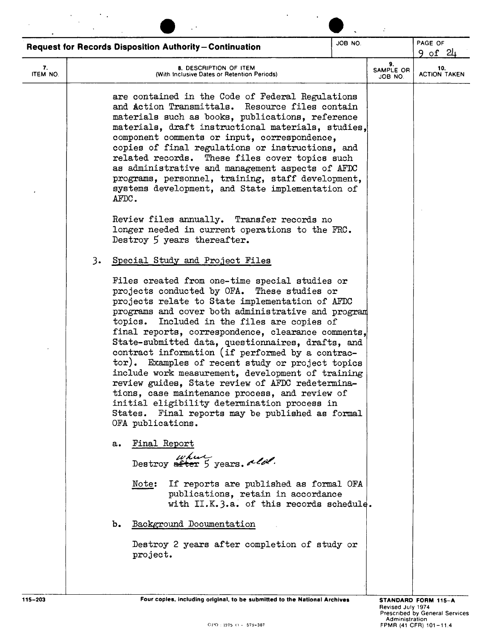|                |    | <b>Request for Records Disposition Authority-Continuation</b>                                                                                                                                                                                                                                                                                                                                                                                                                                                                                                                                                                                                                                                                                                   | JOB NO. |                            | PAGE OF<br><u>9 of 24</u>  |
|----------------|----|-----------------------------------------------------------------------------------------------------------------------------------------------------------------------------------------------------------------------------------------------------------------------------------------------------------------------------------------------------------------------------------------------------------------------------------------------------------------------------------------------------------------------------------------------------------------------------------------------------------------------------------------------------------------------------------------------------------------------------------------------------------------|---------|----------------------------|----------------------------|
| 7.<br>ITEM NO. |    | 8. DESCRIPTION OF ITEM<br>(With Inclusive Dates or Retention Periods)                                                                                                                                                                                                                                                                                                                                                                                                                                                                                                                                                                                                                                                                                           |         | 9.<br>SAMPLE OR<br>JOB NO. | 10.<br><b>ACTION TAKEN</b> |
|                | 3. | are contained in the Code of Federal Regulations<br>and Action Transmittals. Resource files contain<br>materials such as books, publications, reference<br>materials, draft instructional materials, studies,<br>component comments or input, correspondence,<br>copies of final regulations or instructions, and<br>related records. These files cover topics such<br>as administrative and management aspects of AFDC<br>programs, personnel, training, staff development,<br>systems development, and State implementation of<br>AFDC.<br>Review files annually. Transfer records no<br>longer needed in current operations to the FRC.<br>Destroy 5 years thereafter.<br>Special Study and Project Files                                                    |         |                            |                            |
|                |    | Files created from one-time special studies or<br>projects conducted by OFA. These studies or<br>projects relate to State implementation of AFDC<br>programs and cover both administrative and program<br>Included in the files are copies of<br>topics.<br>final reports, correspondence, clearance comments,<br>State-submitted data, questionnaires, drafts, and<br>contract information (if performed by a contrac-<br>tor). Examples of recent study or project topics<br>include work measurement, development of training<br>review guides, State review of AFDC redetermina-<br>tions, case maintenance process, and review of<br>initial eligibility determination process in<br>States. Final reports may be published as formal<br>OFA publications. |         |                            |                            |
|                | a. | Final Report<br>where years. all Destroy after 5 years.<br>If reports are published as formal OFA<br>Note:<br>publications, retain in accordance<br>with II.K.3.a. of this records schedule.                                                                                                                                                                                                                                                                                                                                                                                                                                                                                                                                                                    |         |                            |                            |
|                | b. | Background Documentation<br>Destroy 2 years after completion of study or<br>project.                                                                                                                                                                                                                                                                                                                                                                                                                                                                                                                                                                                                                                                                            |         |                            |                            |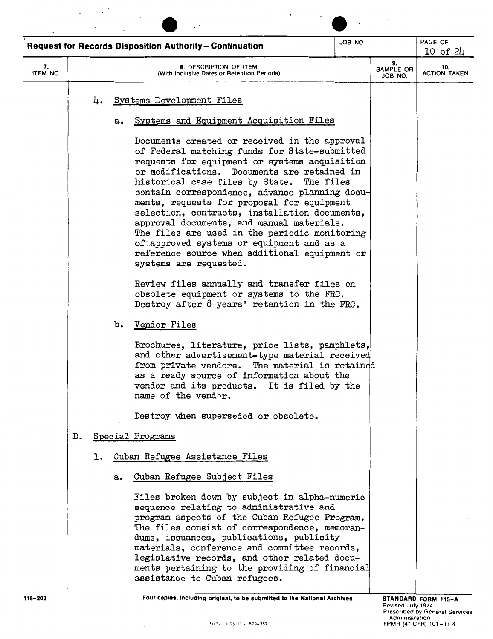|                |               |    |    | Request for Records Disposition Authority-Continuation                                                                                                                                                                                                                                                                                                                                                                                                                                                                                                            | JOB NO. |                            | PAGE OF<br>$10$ of $24$    |
|----------------|---------------|----|----|-------------------------------------------------------------------------------------------------------------------------------------------------------------------------------------------------------------------------------------------------------------------------------------------------------------------------------------------------------------------------------------------------------------------------------------------------------------------------------------------------------------------------------------------------------------------|---------|----------------------------|----------------------------|
| 7.<br>ITEM NO. |               |    |    | 8. DESCRIPTION OF ITEM<br>(With Inclusive Dates or Retention Periods)                                                                                                                                                                                                                                                                                                                                                                                                                                                                                             |         | 9.<br>SAMPLE OR<br>JOB NO. | 10.<br><b>ACTION TAKEN</b> |
|                |               | 4. | a. | Systems Development Files<br>Systems and Equipment Acquisition Files<br>Documents created or received in the approval                                                                                                                                                                                                                                                                                                                                                                                                                                             |         |                            |                            |
|                |               |    |    | of Federal matching funds for State-submitted<br>requests for equipment or systems acquisition<br>or modifications. Documents are retained in<br>historical case files by State. The files<br>contain correspondence, advance planning docu-<br>ments, requests for proposal for equipment<br>selection, contracts, installation documents,<br>approval documents, and manual materials.<br>The files are used in the periodic monitoring<br>of approved systems or equipment and as a<br>reference source when additional equipment or<br>systems are requested. |         |                            |                            |
|                |               |    |    | Review files annually and transfer files on<br>obsolete equipment or systems to the FRC.<br>Destroy after $8$ years' retention in the FRC.                                                                                                                                                                                                                                                                                                                                                                                                                        |         |                            |                            |
|                |               |    | b. | Vendor Files                                                                                                                                                                                                                                                                                                                                                                                                                                                                                                                                                      |         |                            |                            |
|                |               |    |    | Brochures, literature, price lists, pamphlets,<br>and other advertisement-type material received<br>from private vendors. The material is retained<br>as a ready source of information about the<br>vendor and its products. It is filed by the<br>name of the vendor.                                                                                                                                                                                                                                                                                            |         |                            |                            |
|                |               |    |    | Destroy when superseded or obsolete.                                                                                                                                                                                                                                                                                                                                                                                                                                                                                                                              |         |                            |                            |
|                | $D_{\bullet}$ |    |    | Special Programs                                                                                                                                                                                                                                                                                                                                                                                                                                                                                                                                                  |         |                            |                            |
|                |               |    |    | 1. Cuban Refugee Assistance Files                                                                                                                                                                                                                                                                                                                                                                                                                                                                                                                                 |         |                            |                            |
|                |               |    | a. | Cuban Refugee Subject Files                                                                                                                                                                                                                                                                                                                                                                                                                                                                                                                                       |         |                            |                            |
|                |               |    |    | Files broken down by subject in alpha-numeric<br>sequence relating to administrative and<br>program aspects of the Cuban Refugee Program.<br>The files consist of correspondence, memoran-<br>dums, issuances, publications, publicity<br>materials, conference and committee records,<br>legislative records, and other related docu-<br>ments pertaining to the providing of financial<br>assistance to Cuban refugees.                                                                                                                                         |         |                            |                            |

 $\cdot$  $\ddot{\phantom{a}}$ 

 $\mathbb{R}^2$ 

 $\bar{z}$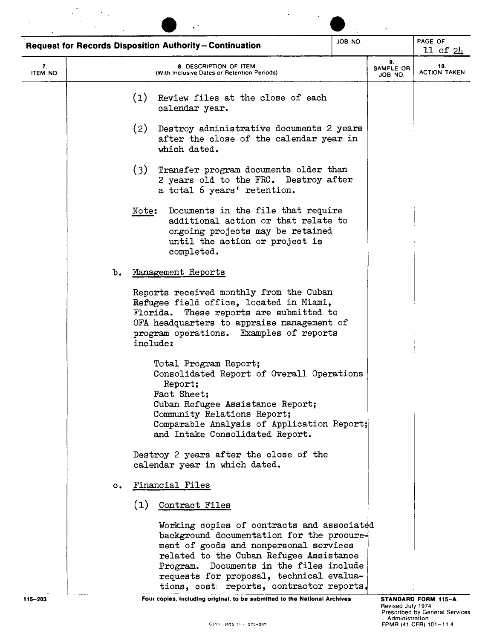|                |                |          | <b>Request for Records Disposition Authority-Continuation</b>                                                                                                                                                                                                                                                      | JOB NO. |  | PAGE OF<br>$11$ of $2\mu$  |
|----------------|----------------|----------|--------------------------------------------------------------------------------------------------------------------------------------------------------------------------------------------------------------------------------------------------------------------------------------------------------------------|---------|--|----------------------------|
| 7.<br>ITEM NO. |                |          | 8. DESCRIPTION OF ITEM<br>(With Inclusive Dates or Retention Periods)                                                                                                                                                                                                                                              |         |  | 10.<br><b>ACTION TAKEN</b> |
|                |                | (1)      | Review files at the close of each<br>calendar year.                                                                                                                                                                                                                                                                |         |  |                            |
|                |                | (2)      | Destroy administrative documents 2 years<br>after the close of the calendar year in<br>which dated.                                                                                                                                                                                                                |         |  |                            |
|                |                | (3)      | Transfer program documents older than<br>2 years old to the FRC. Destroy after<br>a total 6 years' retention.                                                                                                                                                                                                      |         |  |                            |
|                |                | Note:    | Documents in the file that require<br>additional action or that relate to<br>ongoing projects may be retained<br>until the action or project is<br>completed.                                                                                                                                                      |         |  |                            |
|                | b.             |          | Management Reports                                                                                                                                                                                                                                                                                                 |         |  |                            |
|                |                | include: | Reports received monthly from the Cuban<br>Refugee field office, located in Miami,<br>Florida. These reports are submitted to<br>OFA headquarters to appraise management of<br>program operations. Examples of reports                                                                                             |         |  |                            |
|                |                |          | Total Program Report;<br>Consolidated Report of Overall Operations<br>Report;<br>Fact Sheet;<br>Cuban Refugee Assistance Report;<br>Community Relations Report;<br>Comparable Analysis of Application Report;<br>and Intake Consolidated Report.                                                                   |         |  |                            |
|                |                |          | Destroy 2 years after the close of the<br>calendar year in which dated.                                                                                                                                                                                                                                            |         |  |                            |
|                | $\mathbf{c}$ . |          | Financial Files                                                                                                                                                                                                                                                                                                    |         |  |                            |
|                |                | (1)      | Contract Files                                                                                                                                                                                                                                                                                                     |         |  |                            |
|                |                |          | Working copies of contracts and associated<br>background documentation for the procure-<br>ment of goods and nonpersonal services<br>related to the Cuban Refugee Assistance<br>Documents in the files include<br>Program.<br>requests for proposal, technical evalua-<br>tions, cost reports, contractor reports, |         |  |                            |

**115-203 Four copies, Including orlglnal, to be submitted to the National Archives**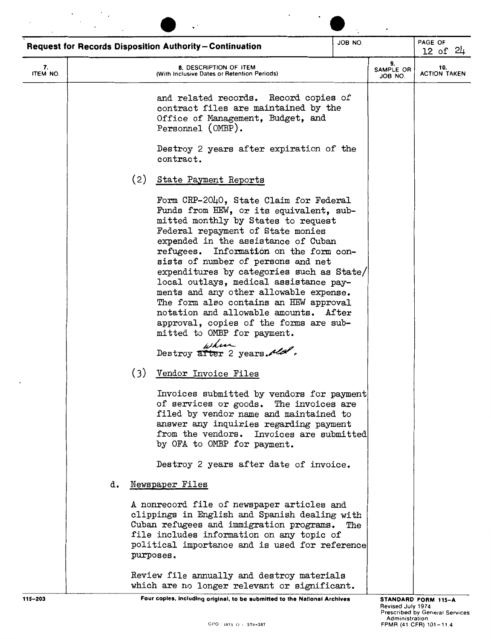|                |    |     | <b>Request for Records Disposition Authority-Continuation</b>                                                                                                                                                                                                                                                                                                                                                                                                                                                                                                                                                            | JOB NO. |                            | PAGE OF<br>$12$ of $24$    |
|----------------|----|-----|--------------------------------------------------------------------------------------------------------------------------------------------------------------------------------------------------------------------------------------------------------------------------------------------------------------------------------------------------------------------------------------------------------------------------------------------------------------------------------------------------------------------------------------------------------------------------------------------------------------------------|---------|----------------------------|----------------------------|
| 7.<br>ITEM NO. |    |     | 8. DESCRIPTION OF ITEM<br>(With Inclusive Dates or Retention Periods)                                                                                                                                                                                                                                                                                                                                                                                                                                                                                                                                                    |         | 9.<br>SAMPLE OR<br>JOB NO. | 10.<br><b>ACTION TAKEN</b> |
|                |    |     | and related records. Record copies of<br>contract files are maintained by the<br>Office of Management, Budget, and<br>Personnel (OMBP).                                                                                                                                                                                                                                                                                                                                                                                                                                                                                  |         |                            |                            |
|                |    |     | Destroy 2 years after expiration of the<br>contract.                                                                                                                                                                                                                                                                                                                                                                                                                                                                                                                                                                     |         |                            |                            |
|                |    | (2) | State Payment Reports                                                                                                                                                                                                                                                                                                                                                                                                                                                                                                                                                                                                    |         |                            |                            |
|                |    |     | Form CRP-2040, State Claim for Federal<br>Funds from HEW, or its equivalent, sub-<br>mitted monthly by States to request<br>Federal repayment of State monies<br>expended in the assistance of Cuban<br>refugees. Information on the form con-<br>sists of number of persons and net<br>expenditures by categories such as State/<br>local outlays, medical assistance pay-<br>ments and any other allowable expense.<br>The form also contains an HEW approval<br>notation and allowable amounts. After<br>approval, copies of the forms are sub-<br>mitted to OMBP for payment.<br>where<br>Destroy after 2 years. May |         |                            |                            |
|                |    | (3) | Vendor Invoice Files                                                                                                                                                                                                                                                                                                                                                                                                                                                                                                                                                                                                     |         |                            |                            |
|                |    |     | Invoices submitted by vendors for payment<br>of services or goods. The invoices are<br>filed by vendor name and maintained to<br>answer any inquiries regarding payment<br>from the vendors. Invoices are submitted<br>by OFA to OMBP for payment.                                                                                                                                                                                                                                                                                                                                                                       |         |                            |                            |
|                |    |     | Destroy 2 years after date of invoice.                                                                                                                                                                                                                                                                                                                                                                                                                                                                                                                                                                                   |         |                            |                            |
|                | d. |     | Newspaper Files<br>A nonrecord file of newspaper articles and                                                                                                                                                                                                                                                                                                                                                                                                                                                                                                                                                            |         |                            |                            |
|                |    |     | clippings in English and Spanish dealing with<br>Cuban refugees and immigration programs.<br>file includes information on any topic of<br>political importance and is used for reference<br>purposes.                                                                                                                                                                                                                                                                                                                                                                                                                    | The     |                            |                            |
|                |    |     | Review file annually and destroy materials<br>which are no longer relevant or significant.                                                                                                                                                                                                                                                                                                                                                                                                                                                                                                                               |         |                            |                            |

 $\ddot{\phantom{0}}$ 

 $\cdot$ 

115-203 **Four copies, including original, to be submitted to the National Archives**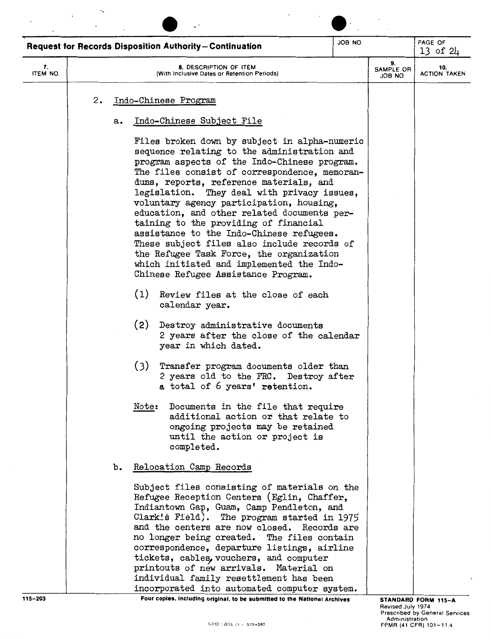|                |    |       | <b>Request for Records Disposition Authority-Continuation</b>                                                                                                                                                                                                                                                                                                                                                                                                                                                                                                                                                                                          | JOB NO. |                            | PAGE OF<br>13 of 24        |  |
|----------------|----|-------|--------------------------------------------------------------------------------------------------------------------------------------------------------------------------------------------------------------------------------------------------------------------------------------------------------------------------------------------------------------------------------------------------------------------------------------------------------------------------------------------------------------------------------------------------------------------------------------------------------------------------------------------------------|---------|----------------------------|----------------------------|--|
| 7.<br>ITEM NO. |    |       | <b>8. DESCRIPTION OF ITEM</b><br>(With Inclusive Dates or Retention Periods)                                                                                                                                                                                                                                                                                                                                                                                                                                                                                                                                                                           |         | 9.<br>SAMPLE OR<br>JOB NO. | 10.<br><b>ACTION TAKEN</b> |  |
|                | 2. |       | Indo-Chinese Program                                                                                                                                                                                                                                                                                                                                                                                                                                                                                                                                                                                                                                   |         |                            |                            |  |
|                | a. |       | Indo-Chinese Subject File                                                                                                                                                                                                                                                                                                                                                                                                                                                                                                                                                                                                                              |         |                            |                            |  |
|                |    |       | Files broken down by subject in alpha-numeric<br>sequence relating to the administration and<br>program aspects of the Indo-Chinese program.<br>The files consist of correspondence, memoran-<br>dums, reports, reference materials, and<br>legislation. They deal with privacy issues,<br>voluntary agency participation, housing,<br>education, and other related documents per-<br>taining to the providing of financial<br>assistance to the Indo-Chinese refugees.<br>These subject files also include records of<br>the Refugee Task Force, the organization<br>which initiated and implemented the Indo-<br>Chinese Refugee Assistance Program. |         |                            |                            |  |
|                |    | (1)   | Review files at the close of each<br>calendar year.                                                                                                                                                                                                                                                                                                                                                                                                                                                                                                                                                                                                    |         |                            |                            |  |
|                |    | (2)   | Destroy administrative documents<br>2 years after the close of the calendar<br>year in which dated.                                                                                                                                                                                                                                                                                                                                                                                                                                                                                                                                                    |         |                            |                            |  |
|                |    | (3)   | Transfer program documents older than<br>2 years old to the FRC. Destroy after<br>a total of 6 years' retention.                                                                                                                                                                                                                                                                                                                                                                                                                                                                                                                                       |         |                            |                            |  |
|                |    | Note: | Documents in the file that require<br>additional action or that relate to<br>ongoing projects may be retained<br>until the action or project is<br>completed.                                                                                                                                                                                                                                                                                                                                                                                                                                                                                          |         |                            |                            |  |
|                | b. |       | Relocation Camp Records                                                                                                                                                                                                                                                                                                                                                                                                                                                                                                                                                                                                                                |         |                            |                            |  |
|                |    |       | Subject files consisting of materials on the<br>Refugee Reception Centers (Eglin, Chaffer,<br>Indiantown Gap, Guam, Camp Pendleton, and<br>Clark's Field). The program started in 1975<br>and the centers are now closed. Records are<br>no longer being created. The files contain<br>correspondence, departure listings, airline<br>tickets, cables, vouchers, and computer<br>printouts of new arrivals. Material on<br>individual family resettlement has been                                                                                                                                                                                     |         |                            |                            |  |

 $\ddot{\phantom{a}}$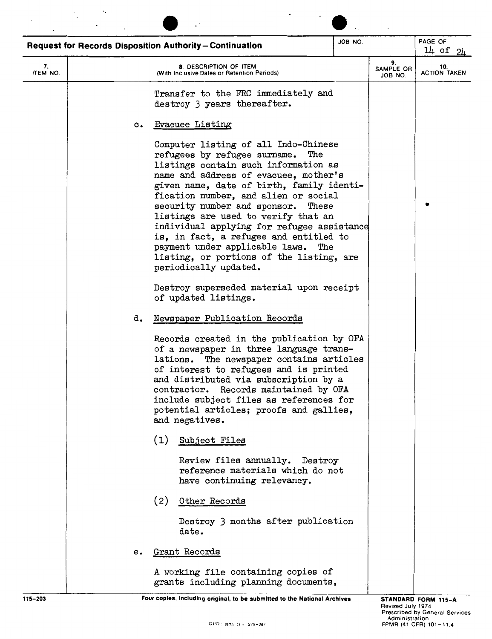|                |                | <b>Request for Records Disposition Authority-Continuation</b>                                                                                                                                                                                                                                                                                                                                                                                                                                                                     | JOB NO. |                            | PAGE OF<br>$14$ of $24$    |
|----------------|----------------|-----------------------------------------------------------------------------------------------------------------------------------------------------------------------------------------------------------------------------------------------------------------------------------------------------------------------------------------------------------------------------------------------------------------------------------------------------------------------------------------------------------------------------------|---------|----------------------------|----------------------------|
| 7.<br>ITEM NO. |                | 8. DESCRIPTION OF ITEM<br>(With Inclusive Dates or Retention Periods)                                                                                                                                                                                                                                                                                                                                                                                                                                                             |         | 9.<br>SAMPLE OR<br>JOB NO. | 10.<br><b>ACTION TAKEN</b> |
|                |                | Transfer to the FRC immediately and<br>destroy 3 years thereafter.                                                                                                                                                                                                                                                                                                                                                                                                                                                                |         |                            |                            |
|                | $\mathbf{c}$ . | <b>Evacuee Listing</b>                                                                                                                                                                                                                                                                                                                                                                                                                                                                                                            |         |                            |                            |
|                |                | Computer listing of all Indo-Chinese<br>refugees by refugee surname.<br>The<br>listings contain such information as<br>name and address of evacuee, mother's<br>given name, date of birth, family identi-<br>fication number, and alien or social<br>security number and sponsor. These<br>listings are used to verify that an<br>individual applying for refugee assistance<br>is, in fact, a refugee and entitled to<br>payment under applicable laws. The<br>listing, or portions of the listing, are<br>periodically updated. |         |                            |                            |
|                |                | Destroy superseded material upon receipt<br>of updated listings.                                                                                                                                                                                                                                                                                                                                                                                                                                                                  |         |                            |                            |
|                | d.             | Newspaper Publication Records                                                                                                                                                                                                                                                                                                                                                                                                                                                                                                     |         |                            |                            |
|                |                | Records created in the publication by OFA<br>of a newspaper in three language trans-<br>lations. The newspaper contains articles<br>of interest to refugees and is printed<br>and distributed via subscription by a<br>contractor. Records maintained by OFA<br>include subject files as references for<br>potential articles; proofs and gallies,<br>and negatives.                                                                                                                                                              |         |                            |                            |
|                |                | (1)<br>Subject Files                                                                                                                                                                                                                                                                                                                                                                                                                                                                                                              |         |                            |                            |
|                |                | Review files annually. Destroy<br>reference materials which do not<br>have continuing relevancy.                                                                                                                                                                                                                                                                                                                                                                                                                                  |         |                            |                            |
|                |                | (2)<br>Other Records                                                                                                                                                                                                                                                                                                                                                                                                                                                                                                              |         |                            |                            |
|                |                | Destroy 3 months after publication<br>date.                                                                                                                                                                                                                                                                                                                                                                                                                                                                                       |         |                            |                            |
|                | e.             | Grant Records                                                                                                                                                                                                                                                                                                                                                                                                                                                                                                                     |         |                            |                            |
|                |                | A working file containing copies of<br>grants including planning documents,                                                                                                                                                                                                                                                                                                                                                                                                                                                       |         |                            |                            |
| 115-203        |                | Four copies, including original, to be submitted to the National Archives                                                                                                                                                                                                                                                                                                                                                                                                                                                         |         |                            | STANDARD FORM 115-A        |

 $\ddot{\phantom{0}}$ 

 $\mathcal{L}^{\mathcal{L}}$ 

Revised July 1974<br>Prescribed by General Services<br>Administration (Administration دo - 579-387 FPMR (41 CFR) 101-11.4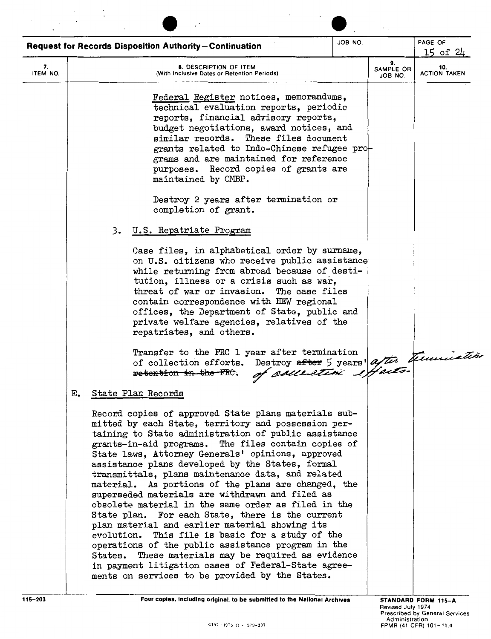| 9.<br>7.<br><b>8. DESCRIPTION OF ITEM</b><br>SAMPLE OR<br>ITEM NO.<br>(With Inclusive Dates or Retention Periods)<br>JOB NO.<br>Federal Register notices, memorandums,<br>technical evaluation reports, periodic<br>reports, financial advisory reports,<br>budget negotiations, award notices, and<br>similar records. These files document<br>grants related to Indo-Chinese refugee pro-<br>grams and are maintained for reference<br>purposes. Record copies of grants are<br>maintained by OMBP.<br>Destroy 2 years after termination or<br>completion of grant.<br>3. U.S. Repatriate Program<br>Case files, in alphabetical order by surname,<br>on U.S. citizens who receive public assistance<br>while returning from abroad because of desti-<br>tution, illness or a crisis such as war,<br>threat of war or invasion. The case files<br>contain correspondence with HEW regional<br>offices, the Department of State, public and<br>private welfare agencies, relatives of the<br>repatriates, and others.<br>Transfer to the FRC 1 year after termination<br>Destroy after 5 years' after trunication<br>of collection efforts.<br>retention in the FRC.<br>State Plan Records<br>Е.<br>Record copies of approved State plans materials sub-<br>mitted by each State, territory and possession per-<br>taining to State administration of public assistance<br>grants-in-aid programs. The files contain copies of<br>State laws, Attorney Generals' opinions, approved<br>assistance plans developed by the States, formal<br>transmittals, plans maintenance data, and related<br>material. As portions of the plans are changed, the<br>superseded materials are withdrawn and filed as<br>obsolete material in the same order as filed in the<br>State plan. For each State, there is the current<br>plan material and earlier material showing its<br>evolution. This file is basic for a study of the<br>operations of the public assistance program in the<br>States. These materials may be required as evidence<br>in payment litigation cases of Federal-State agree- | PAGE OF             |  | JOB NO. | <b>Request for Records Disposition Authority-Continuation</b> |             |
|----------------------------------------------------------------------------------------------------------------------------------------------------------------------------------------------------------------------------------------------------------------------------------------------------------------------------------------------------------------------------------------------------------------------------------------------------------------------------------------------------------------------------------------------------------------------------------------------------------------------------------------------------------------------------------------------------------------------------------------------------------------------------------------------------------------------------------------------------------------------------------------------------------------------------------------------------------------------------------------------------------------------------------------------------------------------------------------------------------------------------------------------------------------------------------------------------------------------------------------------------------------------------------------------------------------------------------------------------------------------------------------------------------------------------------------------------------------------------------------------------------------------------------------------------------------------------------------------------------------------------------------------------------------------------------------------------------------------------------------------------------------------------------------------------------------------------------------------------------------------------------------------------------------------------------------------------------------------------------------------------------------------------------------------------------------------------------------------|---------------------|--|---------|---------------------------------------------------------------|-------------|
|                                                                                                                                                                                                                                                                                                                                                                                                                                                                                                                                                                                                                                                                                                                                                                                                                                                                                                                                                                                                                                                                                                                                                                                                                                                                                                                                                                                                                                                                                                                                                                                                                                                                                                                                                                                                                                                                                                                                                                                                                                                                                              | 15 of 24<br>10.     |  |         |                                                               |             |
|                                                                                                                                                                                                                                                                                                                                                                                                                                                                                                                                                                                                                                                                                                                                                                                                                                                                                                                                                                                                                                                                                                                                                                                                                                                                                                                                                                                                                                                                                                                                                                                                                                                                                                                                                                                                                                                                                                                                                                                                                                                                                              | <b>ACTION TAKEN</b> |  |         |                                                               |             |
| ments on services to be provided by the States.                                                                                                                                                                                                                                                                                                                                                                                                                                                                                                                                                                                                                                                                                                                                                                                                                                                                                                                                                                                                                                                                                                                                                                                                                                                                                                                                                                                                                                                                                                                                                                                                                                                                                                                                                                                                                                                                                                                                                                                                                                              |                     |  |         |                                                               | $115 - 203$ |

 $\overline{\phantom{a}}$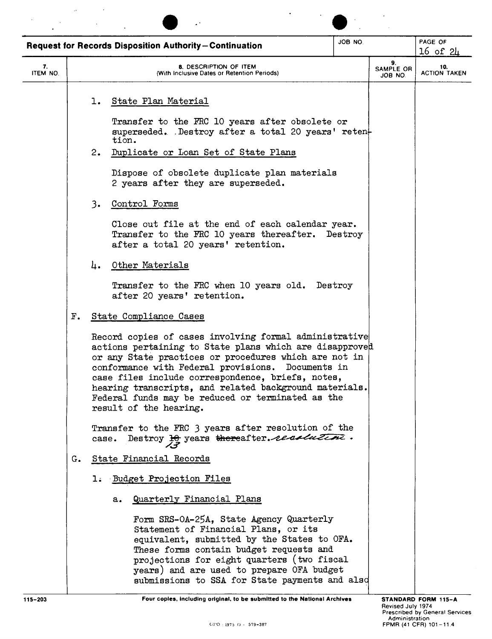|                |    |       | <b>Request for Records Disposition Authority-Continuation</b>                                                                                                                                                                                                                                                                                                                                                                    | JOB NO. |                            | PAGE OF<br>16 of 24        |
|----------------|----|-------|----------------------------------------------------------------------------------------------------------------------------------------------------------------------------------------------------------------------------------------------------------------------------------------------------------------------------------------------------------------------------------------------------------------------------------|---------|----------------------------|----------------------------|
| 7.<br>ITEM NO. |    |       | 8. DESCRIPTION OF ITEM<br>(With Inclusive Dates or Retention Periods)                                                                                                                                                                                                                                                                                                                                                            |         | 9.<br>SAMPLE OR<br>JOB NO. | 10.<br><b>ACTION TAKEN</b> |
|                |    | ı.    | State Plan Material                                                                                                                                                                                                                                                                                                                                                                                                              |         |                            |                            |
|                |    |       | Transfer to the FRC 10 years after obsolete or<br>superseded. Destroy after a total 20 years' reten-<br>tion.                                                                                                                                                                                                                                                                                                                    |         |                            |                            |
|                |    | 2.    | Duplicate or Loan Set of State Plans                                                                                                                                                                                                                                                                                                                                                                                             |         |                            |                            |
|                |    |       | Dispose of obsolete duplicate plan materials<br>2 years after they are superseded.                                                                                                                                                                                                                                                                                                                                               |         |                            |                            |
|                |    | 3.    | Control Forms                                                                                                                                                                                                                                                                                                                                                                                                                    |         |                            |                            |
|                |    |       | Close out file at the end of each calendar year.<br>Transfer to the FRC 10 years thereafter. Destroy<br>after a total 20 years' retention.                                                                                                                                                                                                                                                                                       |         |                            |                            |
|                |    | 4.    | Other Materials                                                                                                                                                                                                                                                                                                                                                                                                                  |         |                            |                            |
|                |    |       | Transfer to the FRC when 10 years old. Destroy<br>after 20 years' retention.                                                                                                                                                                                                                                                                                                                                                     |         |                            |                            |
|                | F. |       | State Compliance Cases                                                                                                                                                                                                                                                                                                                                                                                                           |         |                            |                            |
|                |    |       | Record copies of cases involving formal administrative<br>actions pertaining to State plans which are disapproved<br>or any State practices or procedures which are not in<br>conformance with Federal provisions.<br>Documents in<br>case files include correspondence, briefs, notes,<br>hearing transcripts, and related background materials.<br>Federal funds may be reduced or terminated as the<br>result of the hearing. |         |                            |                            |
|                |    | case. | Transfer to the FRC 3 years after resolution of the<br>Destroy He years thereafter. residentine.                                                                                                                                                                                                                                                                                                                                 |         |                            |                            |
|                | G. |       | State Financial Records                                                                                                                                                                                                                                                                                                                                                                                                          |         |                            |                            |
|                |    |       | 1. Budget Projection Files                                                                                                                                                                                                                                                                                                                                                                                                       |         |                            |                            |
|                |    |       | Quarterly Financial Plans<br>a.                                                                                                                                                                                                                                                                                                                                                                                                  |         |                            |                            |
|                |    |       | Form SRS-0A-25A, State Agency Quarterly<br>Statement of Financial Plans, or its<br>equivalent, submitted by the States to OFA.<br>These forms contain budget requests and<br>projections for eight quarters (two fiscal<br>years) and are used to prepare OFA budget<br>submissions to SSA for State payments and also                                                                                                           |         |                            |                            |

**115-203** Four copies, including original, to be submitted to the National Archives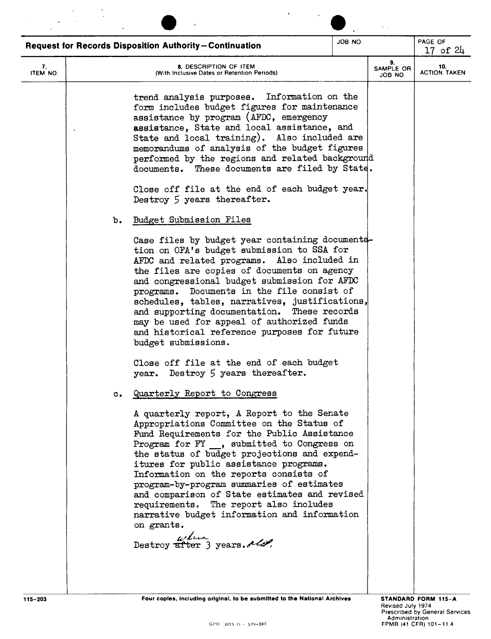|                |                | <b>Request for Records Disposition Authority-Continuation</b>                                                                                                                                                                                                                                                                                                                                                                                                                                                                                                                                 | JOB NO. |                            | PAGE OF<br>17 of $24$                                 |
|----------------|----------------|-----------------------------------------------------------------------------------------------------------------------------------------------------------------------------------------------------------------------------------------------------------------------------------------------------------------------------------------------------------------------------------------------------------------------------------------------------------------------------------------------------------------------------------------------------------------------------------------------|---------|----------------------------|-------------------------------------------------------|
| 7.<br>ITEM NO. |                | 8. DESCRIPTION OF ITEM<br>(With Inclusive Dates or Retention Periods)                                                                                                                                                                                                                                                                                                                                                                                                                                                                                                                         |         | 9.<br>SAMPLE OR<br>JOB NO. | 10.<br><b>ACTION TAKEN</b>                            |
|                |                | trend analysis purposes. Information on the<br>form includes budget figures for maintenance<br>assistance by program (AFDC, emergency<br>assistance, State and local assistance, and<br>State and local training). Also included are<br>memorandums of analysis of the budget figures<br>performed by the regions and related background<br>documents. These documents are filed by State.<br>Close off file at the end of each budget year.<br>Destroy $5$ years thereafter.                                                                                                                 |         |                            |                                                       |
|                | b.             | Budget Submission Files<br>Case files by budget year containing documenta-<br>tion on OFA's budget submission to SSA for<br>AFDC and related programs. Also included in<br>the files are copies of documents on agency<br>and congressional budget submission for AFDC<br>Documents in the file consist of<br>programs.<br>schedules, tables, narratives, justifications,<br>and supporting documentation. These records<br>may be used for appeal of authorized funds<br>and historical reference purposes for future<br>budget submissions.                                                 |         |                            |                                                       |
|                |                | Close off file at the end of each budget<br>year. Destroy 5 years thereafter.                                                                                                                                                                                                                                                                                                                                                                                                                                                                                                                 |         |                            |                                                       |
|                | $\mathbf{c}$ . | Quarterly Report to Congress<br>A quarterly report, A Report to the Senate<br>Appropriations Committee on the Status of<br>Fund Requirements for the Public Assistance<br>Program for FY, submitted to Congress on<br>the status of budget projections and expend-<br>itures for public assistance programs.<br>Information on the reports consists of<br>program-by-program summaries of estimates<br>and comparison of State estimates and revised<br>requirements. The report also includes<br>narrative budget information and information<br>on grants.<br>Destroy after 3 years. Melter |         |                            |                                                       |
| 115-203        |                | Four copies, including original, to be submitted to the National Archives                                                                                                                                                                                                                                                                                                                                                                                                                                                                                                                     |         | Revised July 1974          | STANDARD FORM 115-A<br>Prescribed by General Services |

 $\mathbb{R}^2$ 

 $\mathcal{F}^{\text{max}}_{\text{max}}$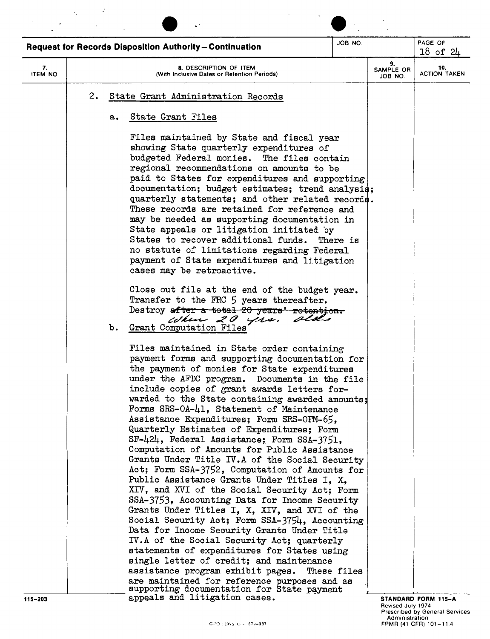|                |    | <b>Request for Records Disposition Authority-Continuation</b>                                                                                                                                                                                                                                                                                                                                                                                                                                                                                                                                                                                                                                                                                                                                                                                                                                                                                                                                                                                                                                                                                                             | JOB NO.     |                            | PAGE OF<br>$18$ of $24$    |
|----------------|----|---------------------------------------------------------------------------------------------------------------------------------------------------------------------------------------------------------------------------------------------------------------------------------------------------------------------------------------------------------------------------------------------------------------------------------------------------------------------------------------------------------------------------------------------------------------------------------------------------------------------------------------------------------------------------------------------------------------------------------------------------------------------------------------------------------------------------------------------------------------------------------------------------------------------------------------------------------------------------------------------------------------------------------------------------------------------------------------------------------------------------------------------------------------------------|-------------|----------------------------|----------------------------|
| 7.<br>ITEM NO. |    | 8. DESCRIPTION OF ITEM<br>(With Inclusive Dates or Retention Periods)                                                                                                                                                                                                                                                                                                                                                                                                                                                                                                                                                                                                                                                                                                                                                                                                                                                                                                                                                                                                                                                                                                     |             | 9.<br>SAMPLE OR<br>JOB NO. | 10.<br><b>ACTION TAKEN</b> |
|                | 2. | State Grant Administration Records                                                                                                                                                                                                                                                                                                                                                                                                                                                                                                                                                                                                                                                                                                                                                                                                                                                                                                                                                                                                                                                                                                                                        |             |                            |                            |
|                | а. | State Grant Files                                                                                                                                                                                                                                                                                                                                                                                                                                                                                                                                                                                                                                                                                                                                                                                                                                                                                                                                                                                                                                                                                                                                                         |             |                            |                            |
|                |    | Files maintained by State and fiscal year<br>showing State quarterly expenditures of<br>budgeted Federal monies. The files contain<br>regional recommendations on amounts to be<br>paid to States for expenditures and supporting<br>documentation; budget estimates; trend analysis;<br>quarterly statements; and other related records.<br>These records are retained for reference and<br>may be needed as supporting documentation in<br>State appeals or litigation initiated by<br>States to recover additional funds. There is<br>no statute of limitations regarding Federal<br>payment of State expenditures and litigation<br>cases may be retroactive.                                                                                                                                                                                                                                                                                                                                                                                                                                                                                                         |             |                            |                            |
|                | b. | Close out file at the end of the budget year.<br>Transfer to the FRC 5 years thereafter.<br>Destroy after a total 20 years' retention.<br>When 20 yrs.<br>Grant Computation Files                                                                                                                                                                                                                                                                                                                                                                                                                                                                                                                                                                                                                                                                                                                                                                                                                                                                                                                                                                                         |             |                            |                            |
|                |    | Files maintained in State order containing<br>payment forms and supporting documentation for<br>the payment of monies for State expenditures<br>under the AFDC program. Documents in the file<br>include copies of grant awards letters for-<br>warded to the State containing awarded amounts;<br>Forms SRS-0A-41, Statement of Maintenance<br>Assistance Expenditures; Form SRS-OFM-65.<br>Quarterly Estimates of Expenditures; Form<br>SF-424, Federal Assistance; Form SSA-3751,<br>Computation of Amounts for Public Assistance<br>Grants Under Title IV.A of the Social Security<br>Act; Form SSA-3752, Computation of Amounts for<br>Public Assistance Grants Under Titles I, X,<br>XIV, and XVI of the Social Security Act; Form<br>SSA-3753, Accounting Data for Income Security<br>Grants Under Titles I, X, XIV, and XVI of the<br>Social Security Act; Form SSA-3754, Accounting<br>Data for Income Security Grants Under Title<br>IV.A of the Social Security Act; quarterly<br>statements of expenditures for States using<br>single letter of credit; and maintenance<br>assistance program exhibit pages.<br>are maintained for reference purposes and as | These files |                            |                            |

Revised July 1974<br>Prescribed by General Services<br>Administration (41 CFR) 101–11.4<br>FPMR (41 CFR) 101–11.4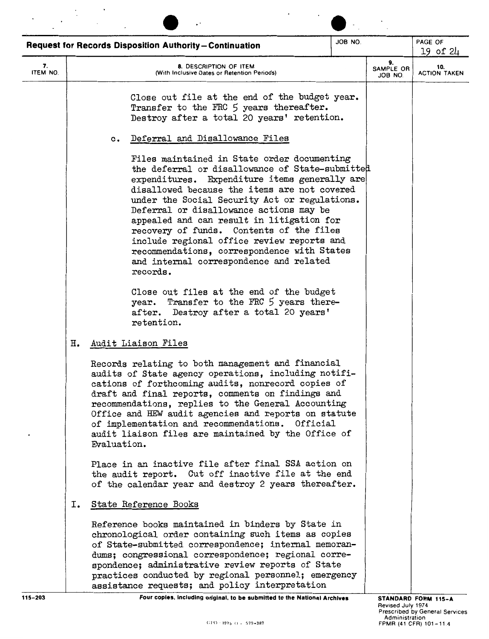|                |    | <b>Request for Records Disposition Authority-Continuation</b>                                                                                                                                                                                                                                                                                                                                                                                                                                                                            | JOB NO. |                            | PAGE OF<br>19 of 24                                             |
|----------------|----|------------------------------------------------------------------------------------------------------------------------------------------------------------------------------------------------------------------------------------------------------------------------------------------------------------------------------------------------------------------------------------------------------------------------------------------------------------------------------------------------------------------------------------------|---------|----------------------------|-----------------------------------------------------------------|
| 7.<br>ITEM NO. |    | 8. DESCRIPTION OF ITEM<br>(With Inclusive Dates or Retention Periods)                                                                                                                                                                                                                                                                                                                                                                                                                                                                    |         | 9.<br>SAMPLE OR<br>JOB NO. | 10.<br><b>ACTION TAKEN</b>                                      |
|                |    | Close out file at the end of the budget year.<br>Transfer to the FRC 5 years thereafter.<br>Destroy after a total 20 years' retention.                                                                                                                                                                                                                                                                                                                                                                                                   |         |                            |                                                                 |
|                |    | Deferral and Disallowance Files<br>$\mathbf{c}$ .                                                                                                                                                                                                                                                                                                                                                                                                                                                                                        |         |                            |                                                                 |
|                |    | Files maintained in State order documenting<br>the deferral or disallowance of State-submitted<br>expenditures. Expenditure items generally are<br>disallowed because the items are not covered<br>under the Social Security Act or regulations.<br>Deferral or disallowance actions may be<br>appealed and can result in litigation for<br>recovery of funds. Contents of the files<br>include regional office review reports and<br>recommendations, correspondence with States<br>and internal correspondence and related<br>records. |         |                            |                                                                 |
|                |    | Close out files at the end of the budget<br>year. Transfer to the FRC 5 years there-<br>after. Destroy after a total 20 years'<br>retention.                                                                                                                                                                                                                                                                                                                                                                                             |         |                            |                                                                 |
|                | н. | Audit Liaison Files                                                                                                                                                                                                                                                                                                                                                                                                                                                                                                                      |         |                            |                                                                 |
|                |    | Records relating to both management and financial<br>audits of State agency operations, including notifi-<br>cations of forthcoming audits, nonrecord copies of<br>draft and final reports, comments on findings and<br>recommendations, replies to the General Accounting<br>Office and HEW audit agencies and reports on statute<br>of implementation and recommendations. Official<br>audit liaison files are maintained by the Office of<br>Evaluation.                                                                              |         |                            |                                                                 |
|                |    | Place in an inactive file after final SSA action on<br>the audit report. Cut off inactive file at the end<br>of the calendar year and destroy 2 years thereafter.                                                                                                                                                                                                                                                                                                                                                                        |         |                            |                                                                 |
|                | 1. | State Reference Books                                                                                                                                                                                                                                                                                                                                                                                                                                                                                                                    |         |                            |                                                                 |
|                |    | Reference books maintained in binders by State in<br>chronological order containing such items as copies<br>of State-submitted correspondence; internal memoran-<br>dums; congressional correspondence; regional corre-<br>spondence; administrative review reports of State<br>practices conducted by regional personnel; emergency<br>assistance requests; and policy interpretation                                                                                                                                                   |         |                            |                                                                 |
| $115 - 203$    |    | Four copies, including original, to be submitted to the National Archives                                                                                                                                                                                                                                                                                                                                                                                                                                                                |         | Revised July 1974          | STANDARD FORM 115-A                                             |
|                |    | $GPO - 1975$ $O = 579 - 387$                                                                                                                                                                                                                                                                                                                                                                                                                                                                                                             |         | Administration             | <b>Prescribed by General Services</b><br>FPMR (41 CFR) 101-11.4 |

 $\ddot{\cdot}$ 

 $\ddot{\phantom{a}}$  .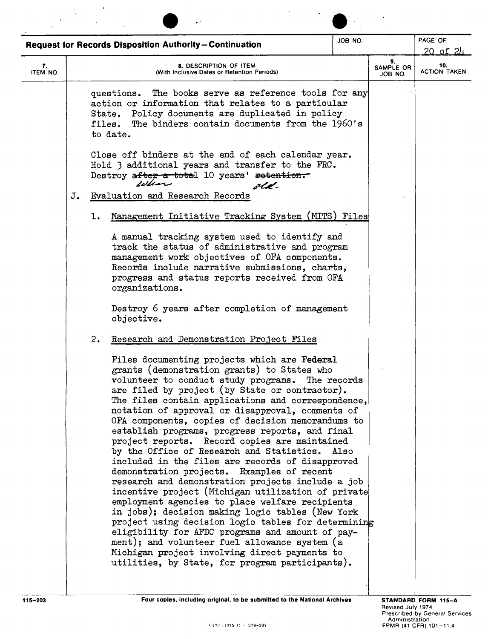|                |    | <b>Request for Records Disposition Authority-Continuation</b>                                                                                                                                                                                                                                                                                                                                                                                                                                                                                                                                                                                                                                                                                                                                                                                                                                                                                                                                                                                                                                  | JOB NO.     |                            | PAGE OF<br><u>20 of 24</u> |
|----------------|----|------------------------------------------------------------------------------------------------------------------------------------------------------------------------------------------------------------------------------------------------------------------------------------------------------------------------------------------------------------------------------------------------------------------------------------------------------------------------------------------------------------------------------------------------------------------------------------------------------------------------------------------------------------------------------------------------------------------------------------------------------------------------------------------------------------------------------------------------------------------------------------------------------------------------------------------------------------------------------------------------------------------------------------------------------------------------------------------------|-------------|----------------------------|----------------------------|
| 7.<br>ITEM NO. |    | <b>8. DESCRIPTION OF ITEM</b><br>(With Inclusive Dates or Retention Periods)                                                                                                                                                                                                                                                                                                                                                                                                                                                                                                                                                                                                                                                                                                                                                                                                                                                                                                                                                                                                                   |             | 9.<br>SAMPLE OR<br>JOB NO. | 10.<br><b>ACTION TAKEN</b> |
|                |    | The books serve as reference tools for any<br>questions.<br>action or information that relates to a particular<br>State. Policy documents are duplicated in policy<br>files. The binders contain documents from the 1960's<br>to date.                                                                                                                                                                                                                                                                                                                                                                                                                                                                                                                                                                                                                                                                                                                                                                                                                                                         |             |                            |                            |
|                |    | Close off binders at the end of each calendar year.<br>Hold 3 additional years and transfer to the FRC.<br>Destroy after a total 10 years' retention.<br>wen<br>olk.                                                                                                                                                                                                                                                                                                                                                                                                                                                                                                                                                                                                                                                                                                                                                                                                                                                                                                                           |             |                            |                            |
|                | J. | Evaluation and Research Records                                                                                                                                                                                                                                                                                                                                                                                                                                                                                                                                                                                                                                                                                                                                                                                                                                                                                                                                                                                                                                                                |             |                            |                            |
|                |    | Management Initiative Tracking System (MITS) Files<br>ı.                                                                                                                                                                                                                                                                                                                                                                                                                                                                                                                                                                                                                                                                                                                                                                                                                                                                                                                                                                                                                                       |             |                            |                            |
|                |    | A manual tracking system used to identify and<br>track the status of administrative and program<br>management work objectives of OFA components.<br>Records include narrative submissions, charts,<br>progress and status reports received from OFA<br>organizations.                                                                                                                                                                                                                                                                                                                                                                                                                                                                                                                                                                                                                                                                                                                                                                                                                          |             |                            |                            |
|                |    | Destroy 6 years after completion of management<br>objective.                                                                                                                                                                                                                                                                                                                                                                                                                                                                                                                                                                                                                                                                                                                                                                                                                                                                                                                                                                                                                                   |             |                            |                            |
|                |    | 2.<br>Research and Demonstration Project Files                                                                                                                                                                                                                                                                                                                                                                                                                                                                                                                                                                                                                                                                                                                                                                                                                                                                                                                                                                                                                                                 |             |                            |                            |
|                |    | Files documenting projects which are Federal<br>grants (demonstration grants) to States who<br>volunteer to conduct study programs.<br>are filed by project (by State or contractor).<br>The files contain applications and correspondence,<br>notation of approval or disapproval, comments of<br>OFA components, copies of decision memorandums to<br>establish programs, progress reports, and final<br>project reports. Record copies are maintained<br>by the Office of Research and Statistics. Also<br>included in the files are records of disapproved<br>demonstration projects. Examples of recent<br>research and demonstration projects include a job<br>incentive project (Michigan utilization of private<br>employment agencies to place welfare recipients<br>in jobs); decision making logic tables (New York<br>project using decision logic tables for determining<br>eligibility for AFDC programs and amount of pay-<br>ment); and volunteer fuel allowance system (a<br>Michigan project involving direct payments to<br>utilities, by State, for program participants). | The records |                            |                            |

 $\hat{\mathcal{A}}$ 

 $\mathbb{R}^2$ 

 $\mathcal{L}^{\text{max}}_{\text{max}}$ 

 $\bar{\mathcal{A}}$ 

 $\frac{1}{\sqrt{2}}$ 

 $\frac{1}{2}$  ,  $\frac{1}{2}$ 

 $\bar{\mathcal{A}}$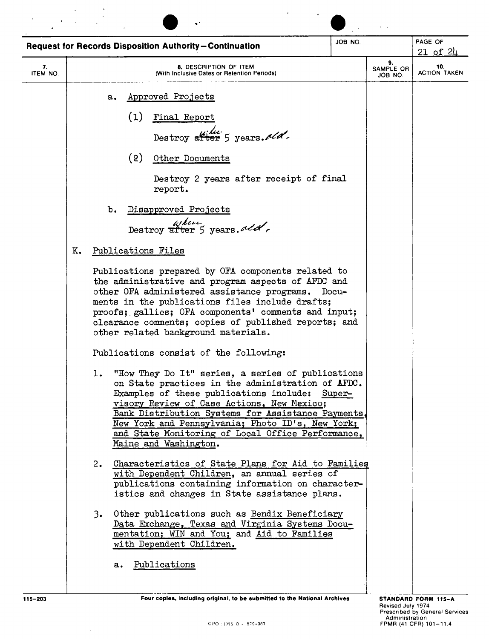| <b>Request for Records Disposition Authority-Continuation</b> |    |                                                                                                                                   |            |                                              |                                                                                                                                                         |  |                                                                                                                                                                                                                                                                                                                                                                                                                                                                                                                                                                                                                                                                                                                                                                                                                                   | JOB NO.                                                                                                                                                                                                                                                                          |                            | PAGE OF<br>$21$ of $24$ |
|---------------------------------------------------------------|----|-----------------------------------------------------------------------------------------------------------------------------------|------------|----------------------------------------------|---------------------------------------------------------------------------------------------------------------------------------------------------------|--|-----------------------------------------------------------------------------------------------------------------------------------------------------------------------------------------------------------------------------------------------------------------------------------------------------------------------------------------------------------------------------------------------------------------------------------------------------------------------------------------------------------------------------------------------------------------------------------------------------------------------------------------------------------------------------------------------------------------------------------------------------------------------------------------------------------------------------------|----------------------------------------------------------------------------------------------------------------------------------------------------------------------------------------------------------------------------------------------------------------------------------|----------------------------|-------------------------|
| 7.<br>ITEM NO.                                                |    |                                                                                                                                   |            |                                              | 8. DESCRIPTION OF ITEM<br>(With Inclusive Dates or Retention Periods)                                                                                   |  |                                                                                                                                                                                                                                                                                                                                                                                                                                                                                                                                                                                                                                                                                                                                                                                                                                   |                                                                                                                                                                                                                                                                                  | 9.<br>SAMPLE OR<br>JOB NO. | 10.                     |
|                                                               | K. | a.<br>b.<br>Publications Files<br>other related background materials.<br>Publications consist of the following:<br>ı.<br>2.<br>3. | (1)<br>(2) | Approved Projects<br>Final Report<br>report. | Destroy after 5 years. $d/d$ .<br>Other Documents<br>Disapproved Projects<br>astron after 5 years.<br>Maine and Washington.<br>with Dependent Children. |  | Destroy 2 years after receipt of final<br>Publications prepared by OFA components related to<br>the administrative and program aspects of AFDC and<br>other OFA administered assistance programs.<br>ments in the publications files include drafts;<br>proofs; gallies; OFA components' comments and input;<br>clearance comments; copies of published reports; and<br>on State practices in the administration of AFDC.<br>Examples of these publications include: Super-<br>visory Review of Case Actions, New Mexico;<br>New York and Pennsylvania; Photo ID's, New York;<br>with Dependent Children, an annual series of<br>istics and changes in State assistance plans.<br>Other publications such as Bendix Beneficiary<br>Data Exchange, Texas and Virginia Systems Docu-<br>mentation; WIN and You; and Aid to Families | Docu-<br>"How They Do It" series, a series of publications<br>Bank Distribution Systems for Assistance Payments.<br>and State Monitoring of Local Office Performance,<br>Characteristics of State Plans for Aid to Families<br>publications containing information on character- |                            | <b>ACTION TAKEN</b>     |
|                                                               |    | а.                                                                                                                                |            | Publications                                 |                                                                                                                                                         |  |                                                                                                                                                                                                                                                                                                                                                                                                                                                                                                                                                                                                                                                                                                                                                                                                                                   |                                                                                                                                                                                                                                                                                  |                            |                         |

 $\hat{\mathcal{A}}$ 

115-203 *Four copies, Including original, to be submitted to the National Archives* **STANDARD FORM 115-203**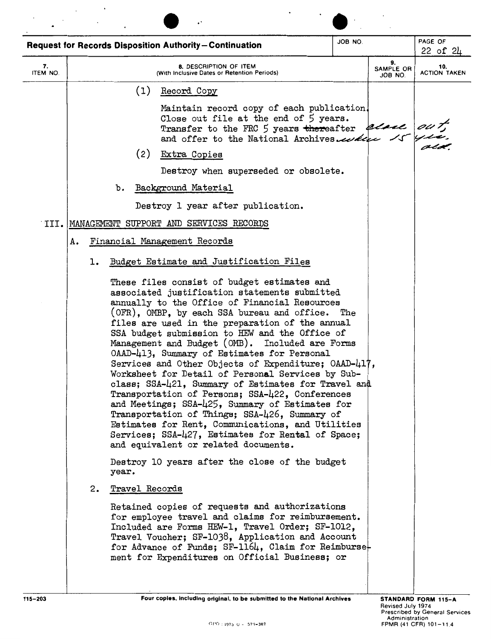|                |    |    |       |     | <b>Request for Records Disposition Authority-Continuation</b>                                                                                                                                                                                                                                                                                                                                                                                                                                                                                                                                                                                                                                                                                                                                                                      | JOB NO. |                            | PAGE OF<br>22 of 24        |
|----------------|----|----|-------|-----|------------------------------------------------------------------------------------------------------------------------------------------------------------------------------------------------------------------------------------------------------------------------------------------------------------------------------------------------------------------------------------------------------------------------------------------------------------------------------------------------------------------------------------------------------------------------------------------------------------------------------------------------------------------------------------------------------------------------------------------------------------------------------------------------------------------------------------|---------|----------------------------|----------------------------|
| 7.<br>ITEM NO. |    |    |       |     | <b>8. DESCRIPTION OF ITEM</b><br>(With Inclusive Dates or Retention Periods)                                                                                                                                                                                                                                                                                                                                                                                                                                                                                                                                                                                                                                                                                                                                                       |         | 9.<br>SAMPLE OR<br>JOB NO. | 10.<br><b>ACTION TAKEN</b> |
|                |    |    |       | (1) | Record Copy                                                                                                                                                                                                                                                                                                                                                                                                                                                                                                                                                                                                                                                                                                                                                                                                                        |         |                            |                            |
|                |    |    |       |     | Maintain record copy of each publication.<br>Close out file at the end of 5 years.<br>Transfer to the FRC 5 years thereafter elsel on the and offer to the National Archives.                                                                                                                                                                                                                                                                                                                                                                                                                                                                                                                                                                                                                                                      |         |                            |                            |
|                |    |    |       | (2) | Extra Copies                                                                                                                                                                                                                                                                                                                                                                                                                                                                                                                                                                                                                                                                                                                                                                                                                       |         |                            |                            |
|                |    |    |       |     | Destroy when superseded or obsolete.                                                                                                                                                                                                                                                                                                                                                                                                                                                                                                                                                                                                                                                                                                                                                                                               |         |                            |                            |
|                |    |    | b.    |     | Background Material                                                                                                                                                                                                                                                                                                                                                                                                                                                                                                                                                                                                                                                                                                                                                                                                                |         |                            |                            |
|                |    |    |       |     | Destroy 1 year after publication.                                                                                                                                                                                                                                                                                                                                                                                                                                                                                                                                                                                                                                                                                                                                                                                                  |         |                            |                            |
|                |    |    |       |     | III. MANAGEMENT SUPPORT AND SERVICES RECORDS                                                                                                                                                                                                                                                                                                                                                                                                                                                                                                                                                                                                                                                                                                                                                                                       |         |                            |                            |
|                | А. |    |       |     |                                                                                                                                                                                                                                                                                                                                                                                                                                                                                                                                                                                                                                                                                                                                                                                                                                    |         |                            |                            |
|                |    | ı. |       |     | Budget Estimate and Justification Files                                                                                                                                                                                                                                                                                                                                                                                                                                                                                                                                                                                                                                                                                                                                                                                            |         |                            |                            |
|                |    |    | year. |     | annually to the Office of Financial Resources<br>(OFR), OMBP, by each SSA bureau and office.<br>files are used in the preparation of the annual<br>SSA budget submission to HEW and the Office of<br>Management and Budget (OMB). Included are Forms<br>OAAD-413, Summary of Estimates for Personal<br>Services and Other Objects of Expenditure; OAAD-417,<br>Worksheet for Detail of Personal Services by Sub-<br>class; SSA-421, Summary of Estimates for Travel and<br>Transportation of Persons; SSA-422, Conferences<br>and Meetings; SSA-425, Summary of Estimates for<br>Transportation of Things; SSA-426, Summary of<br>Estimates for Rent, Communications, and Utilities<br>Services; SSA-427, Estimates for Rental of Space;<br>and equivalent or related documents.<br>Destroy 10 years after the close of the budget | The     |                            |                            |
|                |    | 2. |       |     | Travel Records<br>Retained copies of requests and authorizations<br>for employee travel and claims for reimbursement.<br>Included are Forms HEW-1, Travel Order; SF-1012,<br>Travel Voucher; SF-1038, Application and Account<br>for Advance of Funds; SF-1164, Claim for Reimburse-<br>ment for Expenditures on Official Business; or                                                                                                                                                                                                                                                                                                                                                                                                                                                                                             |         |                            |                            |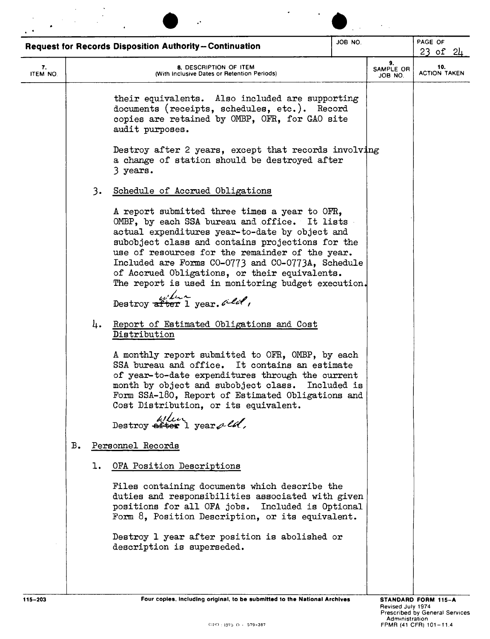|                |    |    | <b>Request for Records Disposition Authority-Continuation</b>                                                                                                                                                                                                                                                                                                                                                                                                                   | JOB NO.     |                            | PAGE OF<br>23 of $24$      |
|----------------|----|----|---------------------------------------------------------------------------------------------------------------------------------------------------------------------------------------------------------------------------------------------------------------------------------------------------------------------------------------------------------------------------------------------------------------------------------------------------------------------------------|-------------|----------------------------|----------------------------|
| 7.<br>ITEM NO. |    |    | 8. DESCRIPTION OF ITEM<br>(With Inclusive Dates or Retention Periods)                                                                                                                                                                                                                                                                                                                                                                                                           |             | 9.<br>SAMPLE OR<br>JOB NO. | 10.<br><b>ACTION TAKEN</b> |
|                |    |    | their equivalents. Also included are supporting<br>documents (receipts, schedules, etc.). Record<br>copies are retained by OMBP, OFR, for GAO site<br>audit purposes.                                                                                                                                                                                                                                                                                                           |             |                            |                            |
|                |    |    | Destroy after 2 years, except that records involving<br>a change of station should be destroyed after<br>3 years.                                                                                                                                                                                                                                                                                                                                                               |             |                            |                            |
|                |    | 3. | Schedule of Accrued Obligations                                                                                                                                                                                                                                                                                                                                                                                                                                                 |             |                            |                            |
|                |    |    | A report submitted three times a year to OFR,<br>OMBP, by each SSA bureau and office. It lists<br>actual expenditures year-to-date by object and<br>subobject class and contains projections for the<br>use of resources for the remainder of the year.<br>Included are Forms CO-0773 and CO-0773A, Schedule<br>of Accrued Obligations, or their equivalents.<br>The report is used in monitoring budget execution.<br>Destroy $\frac{u}{\text{after 1}}$ year. $\text{det}'$ , |             |                            |                            |
|                |    | 4. | Report of Estimated Obligations and Cost<br>Distribution                                                                                                                                                                                                                                                                                                                                                                                                                        |             |                            |                            |
|                |    |    | A monthly report submitted to OFR, OMBP, by each<br>SSA bureau and office.<br>It contains an estimate<br>of year-to-date expenditures through the current<br>month by object and subobject class.<br>Form SSA-180, Report of Estimated Obligations and<br>Cost Distribution, or its equivalent.                                                                                                                                                                                 | Included is |                            |                            |
|                |    |    | $\frac{\omega}{\omega}$ Destroy after 1 years let.                                                                                                                                                                                                                                                                                                                                                                                                                              |             |                            |                            |
|                | в. |    | Personnel Records                                                                                                                                                                                                                                                                                                                                                                                                                                                               |             |                            |                            |
|                |    | ı. | OFA Position Descriptions                                                                                                                                                                                                                                                                                                                                                                                                                                                       |             |                            |                            |
|                |    |    | Files containing documents which describe the<br>duties and responsibilities associated with given<br>positions for all OFA jobs. Included is Optional<br>Form 8, Position Description, or its equivalent.                                                                                                                                                                                                                                                                      |             |                            |                            |
|                |    |    | Destroy 1 year after position is abolished or<br>description is superseded.                                                                                                                                                                                                                                                                                                                                                                                                     |             |                            |                            |